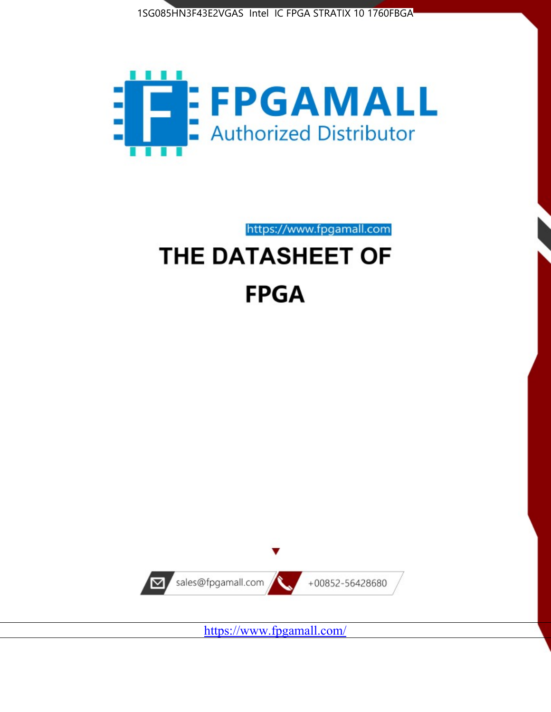



https://www.fpgamall.com

# THE DATASHEET OF **FPGA**



<https://www.fpgamall.com/>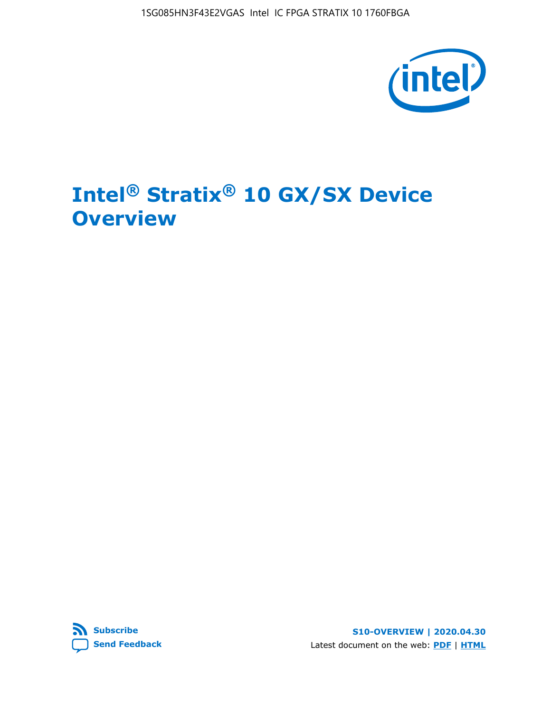

# **Intel® Stratix® 10 GX/SX Device Overview**



**S10-OVERVIEW | 2020.04.30** Latest document on the web: **[PDF](https://www.intel.com/content/dam/www/programmable/us/en/pdfs/literature/hb/stratix-10/s10-overview.pdf)** | **[HTML](https://www.intel.com/content/www/us/en/programmable/documentation/joc1442261161666.html)**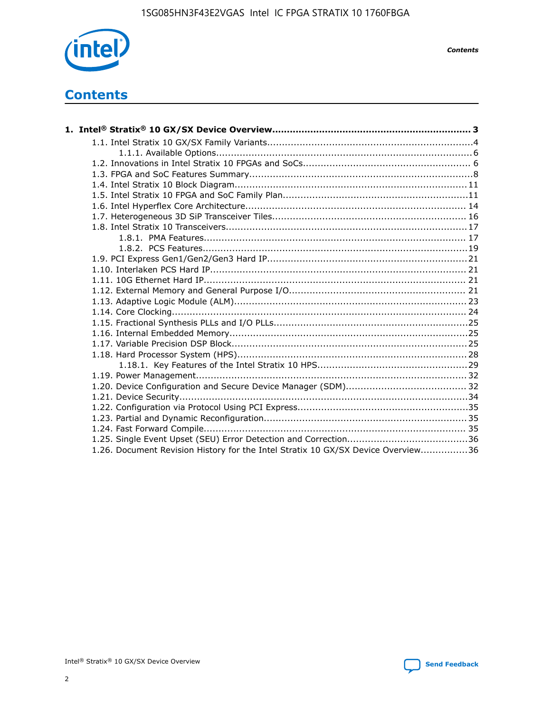

*Contents*

# **Contents**

| 1.26. Document Revision History for the Intel Stratix 10 GX/SX Device Overview36 |  |
|----------------------------------------------------------------------------------|--|

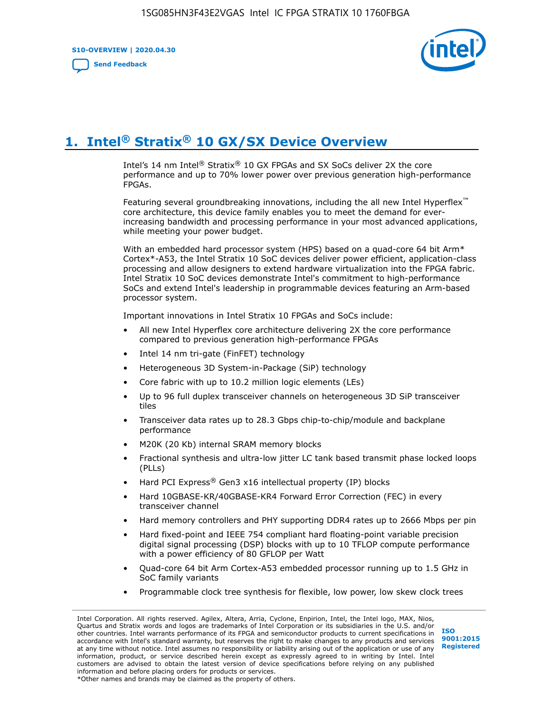**S10-OVERVIEW | 2020.04.30**

**[Send Feedback](mailto:FPGAtechdocfeedback@intel.com?subject=Feedback%20on%20Intel%20Stratix%2010%20GX/SX%20Device%20Overview%20(S10-OVERVIEW%202020.04.30)&body=We%20appreciate%20your%20feedback.%20In%20your%20comments,%20also%20specify%20the%20page%20number%20or%20paragraph.%20Thank%20you.)**



# **1. Intel® Stratix® 10 GX/SX Device Overview**

Intel's 14 nm Intel® Stratix® 10 GX FPGAs and SX SoCs deliver 2X the core performance and up to 70% lower power over previous generation high-performance FPGAs.

Featuring several groundbreaking innovations, including the all new Intel Hyperflex™ core architecture, this device family enables you to meet the demand for everincreasing bandwidth and processing performance in your most advanced applications, while meeting your power budget.

With an embedded hard processor system (HPS) based on a quad-core 64 bit Arm\* Cortex\*-A53, the Intel Stratix 10 SoC devices deliver power efficient, application-class processing and allow designers to extend hardware virtualization into the FPGA fabric. Intel Stratix 10 SoC devices demonstrate Intel's commitment to high-performance SoCs and extend Intel's leadership in programmable devices featuring an Arm-based processor system.

Important innovations in Intel Stratix 10 FPGAs and SoCs include:

- All new Intel Hyperflex core architecture delivering 2X the core performance compared to previous generation high-performance FPGAs
- Intel 14 nm tri-gate (FinFET) technology
- Heterogeneous 3D System-in-Package (SiP) technology
- Core fabric with up to 10.2 million logic elements (LEs)
- Up to 96 full duplex transceiver channels on heterogeneous 3D SiP transceiver tiles
- Transceiver data rates up to 28.3 Gbps chip-to-chip/module and backplane performance
- M20K (20 Kb) internal SRAM memory blocks
- Fractional synthesis and ultra-low jitter LC tank based transmit phase locked loops (PLLs)
- Hard PCI Express<sup>®</sup> Gen3 x16 intellectual property (IP) blocks
- Hard 10GBASE-KR/40GBASE-KR4 Forward Error Correction (FEC) in every transceiver channel
- Hard memory controllers and PHY supporting DDR4 rates up to 2666 Mbps per pin
- Hard fixed-point and IEEE 754 compliant hard floating-point variable precision digital signal processing (DSP) blocks with up to 10 TFLOP compute performance with a power efficiency of 80 GFLOP per Watt
- Quad-core 64 bit Arm Cortex-A53 embedded processor running up to 1.5 GHz in SoC family variants
- Programmable clock tree synthesis for flexible, low power, low skew clock trees

Intel Corporation. All rights reserved. Agilex, Altera, Arria, Cyclone, Enpirion, Intel, the Intel logo, MAX, Nios, Quartus and Stratix words and logos are trademarks of Intel Corporation or its subsidiaries in the U.S. and/or other countries. Intel warrants performance of its FPGA and semiconductor products to current specifications in accordance with Intel's standard warranty, but reserves the right to make changes to any products and services at any time without notice. Intel assumes no responsibility or liability arising out of the application or use of any information, product, or service described herein except as expressly agreed to in writing by Intel. Intel customers are advised to obtain the latest version of device specifications before relying on any published information and before placing orders for products or services. \*Other names and brands may be claimed as the property of others.

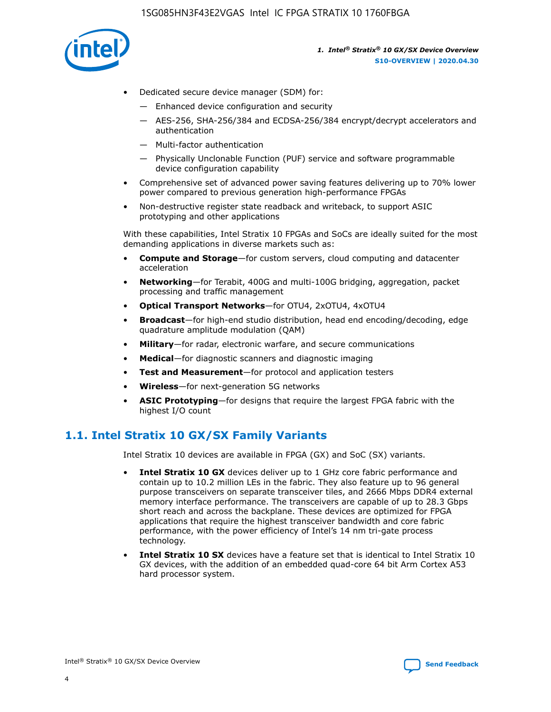

- Dedicated secure device manager (SDM) for:
	- Enhanced device configuration and security
	- AES-256, SHA-256/384 and ECDSA-256/384 encrypt/decrypt accelerators and authentication
	- Multi-factor authentication
	- Physically Unclonable Function (PUF) service and software programmable device configuration capability
- Comprehensive set of advanced power saving features delivering up to 70% lower power compared to previous generation high-performance FPGAs
- Non-destructive register state readback and writeback, to support ASIC prototyping and other applications

With these capabilities, Intel Stratix 10 FPGAs and SoCs are ideally suited for the most demanding applications in diverse markets such as:

- **Compute and Storage**—for custom servers, cloud computing and datacenter acceleration
- **Networking**—for Terabit, 400G and multi-100G bridging, aggregation, packet processing and traffic management
- **Optical Transport Networks**—for OTU4, 2xOTU4, 4xOTU4
- **Broadcast**—for high-end studio distribution, head end encoding/decoding, edge quadrature amplitude modulation (QAM)
- **Military**—for radar, electronic warfare, and secure communications
- **Medical**—for diagnostic scanners and diagnostic imaging
- **Test and Measurement**—for protocol and application testers
- **Wireless**—for next-generation 5G networks
- **ASIC Prototyping**—for designs that require the largest FPGA fabric with the highest I/O count

### **1.1. Intel Stratix 10 GX/SX Family Variants**

Intel Stratix 10 devices are available in FPGA (GX) and SoC (SX) variants.

- **Intel Stratix 10 GX** devices deliver up to 1 GHz core fabric performance and contain up to 10.2 million LEs in the fabric. They also feature up to 96 general purpose transceivers on separate transceiver tiles, and 2666 Mbps DDR4 external memory interface performance. The transceivers are capable of up to 28.3 Gbps short reach and across the backplane. These devices are optimized for FPGA applications that require the highest transceiver bandwidth and core fabric performance, with the power efficiency of Intel's 14 nm tri-gate process technology.
- **Intel Stratix 10 SX** devices have a feature set that is identical to Intel Stratix 10 GX devices, with the addition of an embedded quad-core 64 bit Arm Cortex A53 hard processor system.

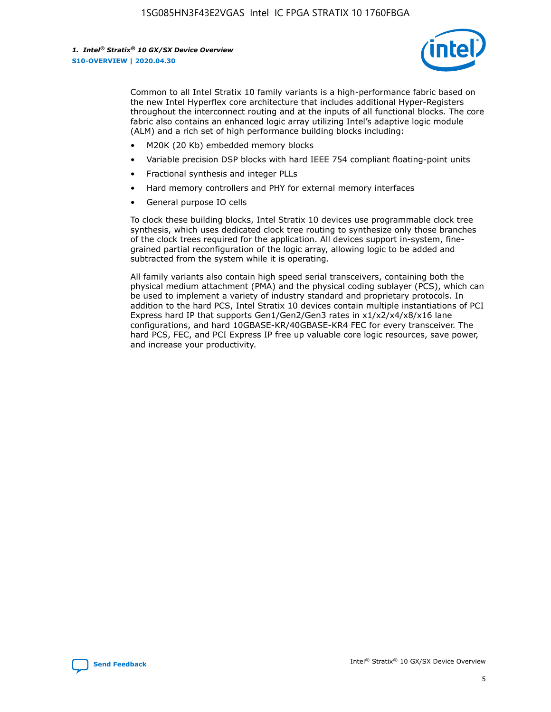

Common to all Intel Stratix 10 family variants is a high-performance fabric based on the new Intel Hyperflex core architecture that includes additional Hyper-Registers throughout the interconnect routing and at the inputs of all functional blocks. The core fabric also contains an enhanced logic array utilizing Intel's adaptive logic module (ALM) and a rich set of high performance building blocks including:

- M20K (20 Kb) embedded memory blocks
- Variable precision DSP blocks with hard IEEE 754 compliant floating-point units
- Fractional synthesis and integer PLLs
- Hard memory controllers and PHY for external memory interfaces
- General purpose IO cells

To clock these building blocks, Intel Stratix 10 devices use programmable clock tree synthesis, which uses dedicated clock tree routing to synthesize only those branches of the clock trees required for the application. All devices support in-system, finegrained partial reconfiguration of the logic array, allowing logic to be added and subtracted from the system while it is operating.

All family variants also contain high speed serial transceivers, containing both the physical medium attachment (PMA) and the physical coding sublayer (PCS), which can be used to implement a variety of industry standard and proprietary protocols. In addition to the hard PCS, Intel Stratix 10 devices contain multiple instantiations of PCI Express hard IP that supports Gen1/Gen2/Gen3 rates in x1/x2/x4/x8/x16 lane configurations, and hard 10GBASE-KR/40GBASE-KR4 FEC for every transceiver. The hard PCS, FEC, and PCI Express IP free up valuable core logic resources, save power, and increase your productivity.

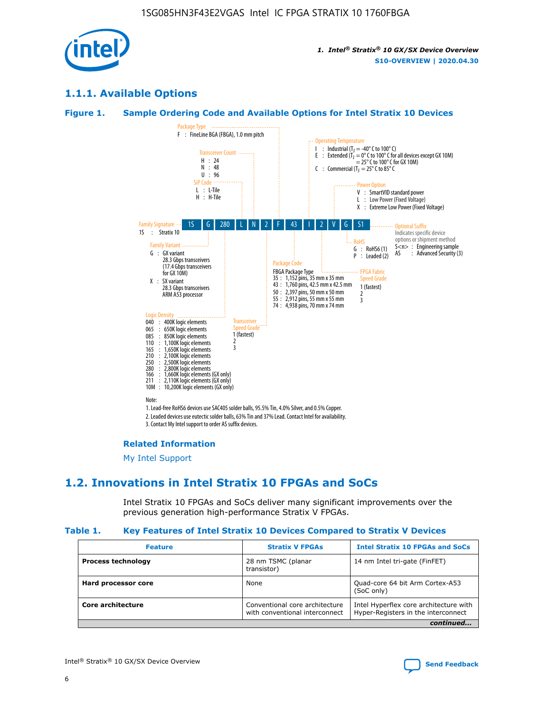

### **1.1.1. Available Options**

#### **Figure 1. Sample Ordering Code and Available Options for Intel Stratix 10 Devices**



3. Contact My Intel support to order AS suffix devices.

#### **Related Information**

[My Intel Support](https://www.intel.com/content/www/us/en/programmable/my-intel/mal-home.html)

### **1.2. Innovations in Intel Stratix 10 FPGAs and SoCs**

Intel Stratix 10 FPGAs and SoCs deliver many significant improvements over the previous generation high-performance Stratix V FPGAs.

#### **Table 1. Key Features of Intel Stratix 10 Devices Compared to Stratix V Devices**

| <b>Feature</b>            | <b>Stratix V FPGAs</b>                                           | <b>Intel Stratix 10 FPGAs and SoCs</b>                                        |
|---------------------------|------------------------------------------------------------------|-------------------------------------------------------------------------------|
| <b>Process technology</b> | 28 nm TSMC (planar<br>transistor)                                | 14 nm Intel tri-gate (FinFET)                                                 |
| Hard processor core       | None                                                             | Quad-core 64 bit Arm Cortex-A53<br>(SoC only)                                 |
| Core architecture         | Conventional core architecture<br>with conventional interconnect | Intel Hyperflex core architecture with<br>Hyper-Registers in the interconnect |
|                           |                                                                  | continued                                                                     |

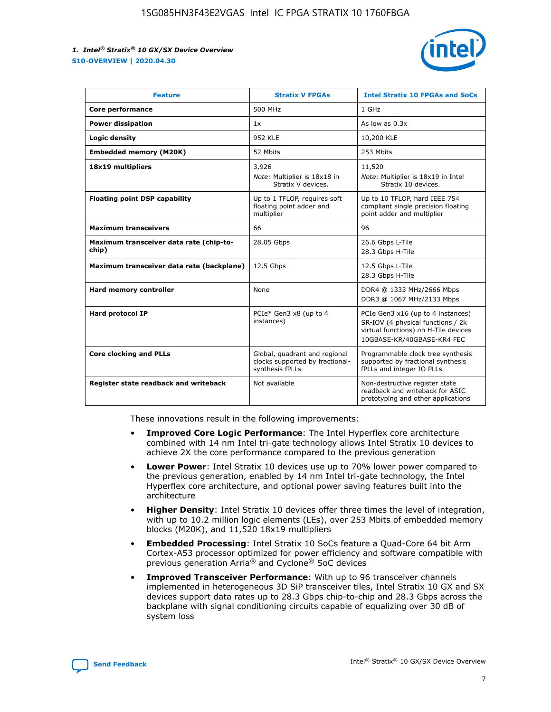

| <b>Feature</b>                                   | <b>Stratix V FPGAs</b>                                                              | <b>Intel Stratix 10 FPGAs and SoCs</b>                                                                                                       |
|--------------------------------------------------|-------------------------------------------------------------------------------------|----------------------------------------------------------------------------------------------------------------------------------------------|
| Core performance                                 | 500 MHz                                                                             | 1 GHz                                                                                                                                        |
| <b>Power dissipation</b>                         | 1x                                                                                  | As low as $0.3x$                                                                                                                             |
| Logic density                                    | <b>952 KLE</b>                                                                      | 10,200 KLE                                                                                                                                   |
| <b>Embedded memory (M20K)</b>                    | 52 Mbits                                                                            | 253 Mbits                                                                                                                                    |
| 18x19 multipliers                                | 3,926                                                                               | 11,520                                                                                                                                       |
|                                                  | Note: Multiplier is 18x18 in<br>Stratix V devices.                                  | Note: Multiplier is 18x19 in Intel<br>Stratix 10 devices.                                                                                    |
| <b>Floating point DSP capability</b>             | Up to 1 TFLOP, requires soft<br>floating point adder and<br>multiplier              | Up to 10 TFLOP, hard IEEE 754<br>compliant single precision floating<br>point adder and multiplier                                           |
| <b>Maximum transceivers</b>                      | 66                                                                                  | 96                                                                                                                                           |
| Maximum transceiver data rate (chip-to-<br>chip) | 28.05 Gbps                                                                          | 26.6 Gbps L-Tile<br>28.3 Gbps H-Tile                                                                                                         |
| Maximum transceiver data rate (backplane)        | 12.5 Gbps                                                                           | 12.5 Gbps L-Tile<br>28.3 Gbps H-Tile                                                                                                         |
| Hard memory controller                           | None                                                                                | DDR4 @ 1333 MHz/2666 Mbps<br>DDR3 @ 1067 MHz/2133 Mbps                                                                                       |
| Hard protocol IP                                 | PCIe* Gen3 x8 (up to 4<br>instances)                                                | PCIe Gen3 x16 (up to 4 instances)<br>SR-IOV (4 physical functions / 2k<br>virtual functions) on H-Tile devices<br>10GBASE-KR/40GBASE-KR4 FEC |
| <b>Core clocking and PLLs</b>                    | Global, quadrant and regional<br>clocks supported by fractional-<br>synthesis fPLLs | Programmable clock tree synthesis<br>supported by fractional synthesis<br>fPLLs and integer IO PLLs                                          |
| Register state readback and writeback            | Not available                                                                       | Non-destructive register state<br>readback and writeback for ASIC<br>prototyping and other applications                                      |

These innovations result in the following improvements:

- **Improved Core Logic Performance**: The Intel Hyperflex core architecture combined with 14 nm Intel tri-gate technology allows Intel Stratix 10 devices to achieve 2X the core performance compared to the previous generation
- **Lower Power**: Intel Stratix 10 devices use up to 70% lower power compared to the previous generation, enabled by 14 nm Intel tri-gate technology, the Intel Hyperflex core architecture, and optional power saving features built into the architecture
- **Higher Density**: Intel Stratix 10 devices offer three times the level of integration, with up to 10.2 million logic elements (LEs), over 253 Mbits of embedded memory blocks (M20K), and 11,520 18x19 multipliers
- **Embedded Processing**: Intel Stratix 10 SoCs feature a Quad-Core 64 bit Arm Cortex-A53 processor optimized for power efficiency and software compatible with previous generation Arria® and Cyclone® SoC devices
- **Improved Transceiver Performance**: With up to 96 transceiver channels implemented in heterogeneous 3D SiP transceiver tiles, Intel Stratix 10 GX and SX devices support data rates up to 28.3 Gbps chip-to-chip and 28.3 Gbps across the backplane with signal conditioning circuits capable of equalizing over 30 dB of system loss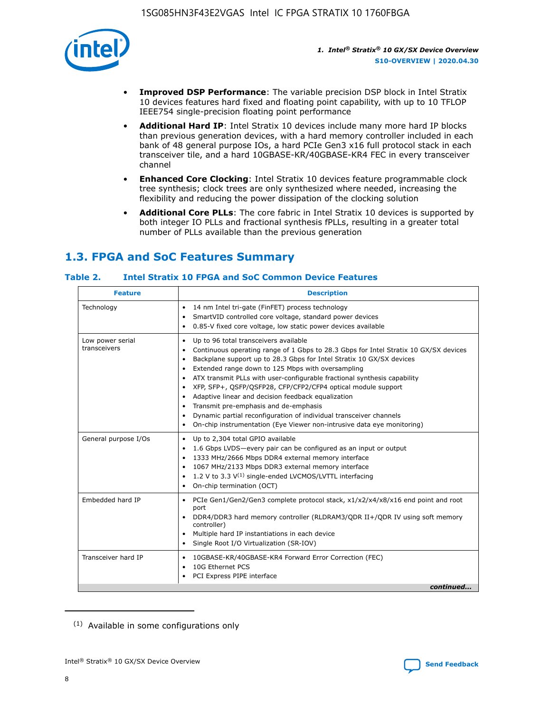

- **Improved DSP Performance**: The variable precision DSP block in Intel Stratix 10 devices features hard fixed and floating point capability, with up to 10 TFLOP IEEE754 single-precision floating point performance
- **Additional Hard IP**: Intel Stratix 10 devices include many more hard IP blocks than previous generation devices, with a hard memory controller included in each bank of 48 general purpose IOs, a hard PCIe Gen3 x16 full protocol stack in each transceiver tile, and a hard 10GBASE-KR/40GBASE-KR4 FEC in every transceiver channel
- **Enhanced Core Clocking**: Intel Stratix 10 devices feature programmable clock tree synthesis; clock trees are only synthesized where needed, increasing the flexibility and reducing the power dissipation of the clocking solution
- **Additional Core PLLs**: The core fabric in Intel Stratix 10 devices is supported by both integer IO PLLs and fractional synthesis fPLLs, resulting in a greater total number of PLLs available than the previous generation

## **1.3. FPGA and SoC Features Summary**

### **Table 2. Intel Stratix 10 FPGA and SoC Common Device Features**

| <b>Feature</b>                   | <b>Description</b>                                                                                                                                                                                                                                                                                                                                                                                                                                                                                                                                                                                                                                                                                                                      |
|----------------------------------|-----------------------------------------------------------------------------------------------------------------------------------------------------------------------------------------------------------------------------------------------------------------------------------------------------------------------------------------------------------------------------------------------------------------------------------------------------------------------------------------------------------------------------------------------------------------------------------------------------------------------------------------------------------------------------------------------------------------------------------------|
| Technology                       | 14 nm Intel tri-gate (FinFET) process technology<br>٠<br>SmartVID controlled core voltage, standard power devices<br>0.85-V fixed core voltage, low static power devices available                                                                                                                                                                                                                                                                                                                                                                                                                                                                                                                                                      |
| Low power serial<br>transceivers | Up to 96 total transceivers available<br>$\bullet$<br>Continuous operating range of 1 Gbps to 28.3 Gbps for Intel Stratix 10 GX/SX devices<br>$\bullet$<br>Backplane support up to 28.3 Gbps for Intel Stratix 10 GX/SX devices<br>$\bullet$<br>Extended range down to 125 Mbps with oversampling<br>$\bullet$<br>ATX transmit PLLs with user-configurable fractional synthesis capability<br>$\bullet$<br>• XFP, SFP+, QSFP/QSFP28, CFP/CFP2/CFP4 optical module support<br>• Adaptive linear and decision feedback equalization<br>Transmit pre-emphasis and de-emphasis<br>Dynamic partial reconfiguration of individual transceiver channels<br>$\bullet$<br>On-chip instrumentation (Eye Viewer non-intrusive data eye monitoring) |
| General purpose I/Os             | Up to 2,304 total GPIO available<br>$\bullet$<br>1.6 Gbps LVDS-every pair can be configured as an input or output<br>1333 MHz/2666 Mbps DDR4 external memory interface<br>1067 MHz/2133 Mbps DDR3 external memory interface<br>• 1.2 V to 3.3 $V^{(1)}$ single-ended LVCMOS/LVTTL interfacing<br>On-chip termination (OCT)<br>$\bullet$                                                                                                                                                                                                                                                                                                                                                                                                 |
| Embedded hard IP                 | PCIe Gen1/Gen2/Gen3 complete protocol stack, $x1/x2/x4/x8/x16$ end point and root<br>$\bullet$<br>port<br>DDR4/DDR3 hard memory controller (RLDRAM3/QDR II+/QDR IV using soft memory<br>controller)<br>• Multiple hard IP instantiations in each device<br>• Single Root I/O Virtualization (SR-IOV)                                                                                                                                                                                                                                                                                                                                                                                                                                    |
| Transceiver hard IP              | 10GBASE-KR/40GBASE-KR4 Forward Error Correction (FEC)<br>$\bullet$<br>10G Ethernet PCS<br>$\bullet$<br>PCI Express PIPE interface<br>$\bullet$<br>continued                                                                                                                                                                                                                                                                                                                                                                                                                                                                                                                                                                             |

<sup>(1)</sup> Available in some configurations only

8

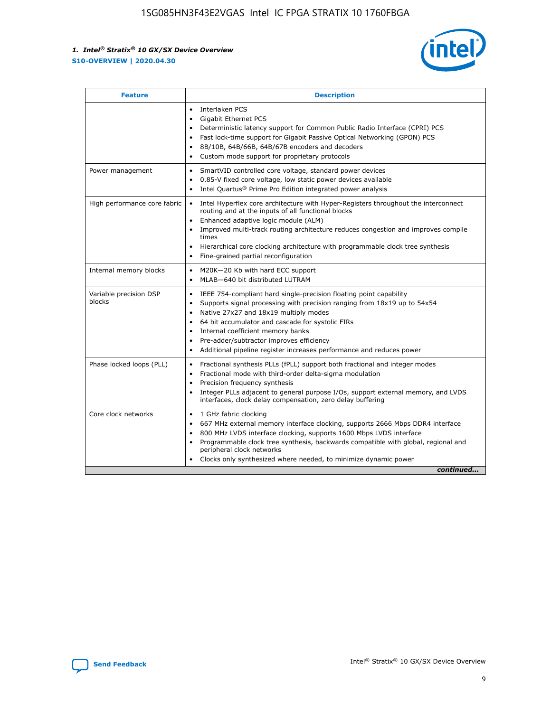

| <b>Feature</b>                   | <b>Description</b>                                                                                                                                                                                                                                                                                                                                                                                                                                                    |
|----------------------------------|-----------------------------------------------------------------------------------------------------------------------------------------------------------------------------------------------------------------------------------------------------------------------------------------------------------------------------------------------------------------------------------------------------------------------------------------------------------------------|
|                                  | Interlaken PCS<br>$\bullet$<br>Gigabit Ethernet PCS<br>$\bullet$<br>Deterministic latency support for Common Public Radio Interface (CPRI) PCS<br>$\bullet$<br>Fast lock-time support for Gigabit Passive Optical Networking (GPON) PCS<br>$\bullet$<br>8B/10B, 64B/66B, 64B/67B encoders and decoders<br>Custom mode support for proprietary protocols                                                                                                               |
| Power management                 | SmartVID controlled core voltage, standard power devices<br>$\bullet$<br>0.85-V fixed core voltage, low static power devices available<br>$\bullet$<br>Intel Quartus <sup>®</sup> Prime Pro Edition integrated power analysis<br>$\bullet$                                                                                                                                                                                                                            |
| High performance core fabric     | Intel Hyperflex core architecture with Hyper-Registers throughout the interconnect<br>routing and at the inputs of all functional blocks<br>Enhanced adaptive logic module (ALM)<br>$\bullet$<br>Improved multi-track routing architecture reduces congestion and improves compile<br>times<br>Hierarchical core clocking architecture with programmable clock tree synthesis<br>$\bullet$<br>Fine-grained partial reconfiguration                                    |
| Internal memory blocks           | M20K-20 Kb with hard ECC support<br>$\bullet$<br>MLAB-640 bit distributed LUTRAM<br>$\bullet$                                                                                                                                                                                                                                                                                                                                                                         |
| Variable precision DSP<br>blocks | IEEE 754-compliant hard single-precision floating point capability<br>$\bullet$<br>Supports signal processing with precision ranging from 18x19 up to 54x54<br>$\bullet$<br>Native 27x27 and 18x19 multiply modes<br>$\bullet$<br>64 bit accumulator and cascade for systolic FIRs<br>Internal coefficient memory banks<br>Pre-adder/subtractor improves efficiency<br>$\bullet$<br>Additional pipeline register increases performance and reduces power<br>$\bullet$ |
| Phase locked loops (PLL)         | Fractional synthesis PLLs (fPLL) support both fractional and integer modes<br>$\bullet$<br>Fractional mode with third-order delta-sigma modulation<br>Precision frequency synthesis<br>$\bullet$<br>Integer PLLs adjacent to general purpose I/Os, support external memory, and LVDS<br>$\bullet$<br>interfaces, clock delay compensation, zero delay buffering                                                                                                       |
| Core clock networks              | 1 GHz fabric clocking<br>$\bullet$<br>667 MHz external memory interface clocking, supports 2666 Mbps DDR4 interface<br>٠<br>800 MHz LVDS interface clocking, supports 1600 Mbps LVDS interface<br>$\bullet$<br>Programmable clock tree synthesis, backwards compatible with global, regional and<br>$\bullet$<br>peripheral clock networks<br>Clocks only synthesized where needed, to minimize dynamic power<br>continued                                            |

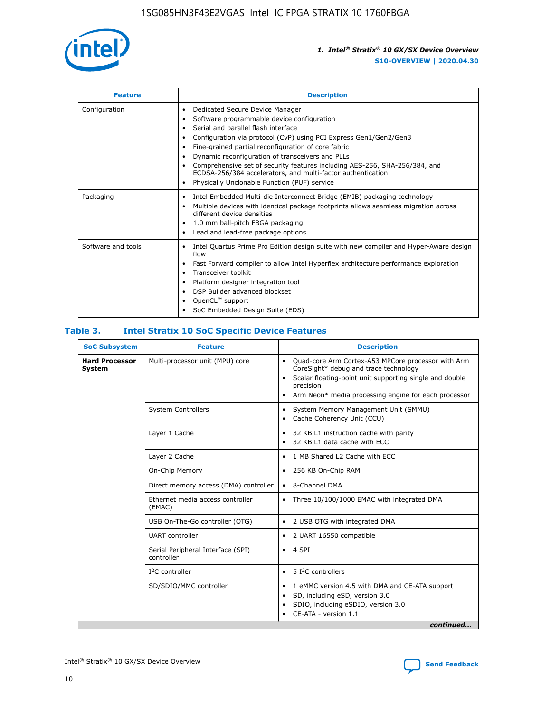

| <b>Feature</b>     | <b>Description</b>                                                                                                                                                                                                                                                                                                                                                                                                                                                                                               |
|--------------------|------------------------------------------------------------------------------------------------------------------------------------------------------------------------------------------------------------------------------------------------------------------------------------------------------------------------------------------------------------------------------------------------------------------------------------------------------------------------------------------------------------------|
| Configuration      | Dedicated Secure Device Manager<br>٠<br>Software programmable device configuration<br>Serial and parallel flash interface<br>Configuration via protocol (CvP) using PCI Express Gen1/Gen2/Gen3<br>Fine-grained partial reconfiguration of core fabric<br>٠<br>Dynamic reconfiguration of transceivers and PLLs<br>٠<br>Comprehensive set of security features including AES-256, SHA-256/384, and<br>ECDSA-256/384 accelerators, and multi-factor authentication<br>Physically Unclonable Function (PUF) service |
| Packaging          | Intel Embedded Multi-die Interconnect Bridge (EMIB) packaging technology<br>٠<br>Multiple devices with identical package footprints allows seamless migration across<br>$\bullet$<br>different device densities<br>1.0 mm ball-pitch FBGA packaging<br>٠<br>Lead and lead-free package options                                                                                                                                                                                                                   |
| Software and tools | Intel Quartus Prime Pro Edition design suite with new compiler and Hyper-Aware design<br>$\bullet$<br>flow<br>Fast Forward compiler to allow Intel Hyperflex architecture performance exploration<br>٠<br>Transceiver toolkit<br>Platform designer integration tool<br>DSP Builder advanced blockset<br>OpenCL <sup>™</sup> support<br>SoC Embedded Design Suite (EDS)                                                                                                                                           |

### **Table 3. Intel Stratix 10 SoC Specific Device Features**

| <b>SoC Subsystem</b>            | <b>Feature</b>                                  | <b>Description</b>                                                                                                                                                                                                                                                 |  |  |  |
|---------------------------------|-------------------------------------------------|--------------------------------------------------------------------------------------------------------------------------------------------------------------------------------------------------------------------------------------------------------------------|--|--|--|
| <b>Hard Processor</b><br>System | Multi-processor unit (MPU) core                 | Quad-core Arm Cortex-A53 MPCore processor with Arm<br>$\bullet$<br>CoreSight* debug and trace technology<br>Scalar floating-point unit supporting single and double<br>$\bullet$<br>precision<br>Arm Neon* media processing engine for each processor<br>$\bullet$ |  |  |  |
|                                 | <b>System Controllers</b>                       | System Memory Management Unit (SMMU)<br>$\bullet$<br>Cache Coherency Unit (CCU)<br>$\bullet$                                                                                                                                                                       |  |  |  |
|                                 | Layer 1 Cache                                   | 32 KB L1 instruction cache with parity<br>٠<br>32 KB L1 data cache with ECC<br>$\bullet$                                                                                                                                                                           |  |  |  |
|                                 | Layer 2 Cache                                   | 1 MB Shared L2 Cache with ECC<br>$\bullet$                                                                                                                                                                                                                         |  |  |  |
|                                 | On-Chip Memory                                  | 256 KB On-Chip RAM<br>$\bullet$                                                                                                                                                                                                                                    |  |  |  |
|                                 | Direct memory access (DMA) controller           | • 8-Channel DMA                                                                                                                                                                                                                                                    |  |  |  |
|                                 | Ethernet media access controller<br>(EMAC)      | Three 10/100/1000 EMAC with integrated DMA<br>$\bullet$                                                                                                                                                                                                            |  |  |  |
|                                 | USB On-The-Go controller (OTG)                  | 2 USB OTG with integrated DMA<br>$\bullet$                                                                                                                                                                                                                         |  |  |  |
|                                 | <b>UART</b> controller                          | 2 UART 16550 compatible<br>$\bullet$                                                                                                                                                                                                                               |  |  |  |
|                                 | Serial Peripheral Interface (SPI)<br>controller | $\bullet$ 4 SPI                                                                                                                                                                                                                                                    |  |  |  |
|                                 | $I2C$ controller                                | 5 <sup>2</sup> C controllers<br>$\bullet$                                                                                                                                                                                                                          |  |  |  |
|                                 | SD/SDIO/MMC controller                          | 1 eMMC version 4.5 with DMA and CE-ATA support<br>$\bullet$<br>SD, including eSD, version 3.0<br>٠<br>SDIO, including eSDIO, version 3.0<br>CE-ATA - version 1.1<br>continued                                                                                      |  |  |  |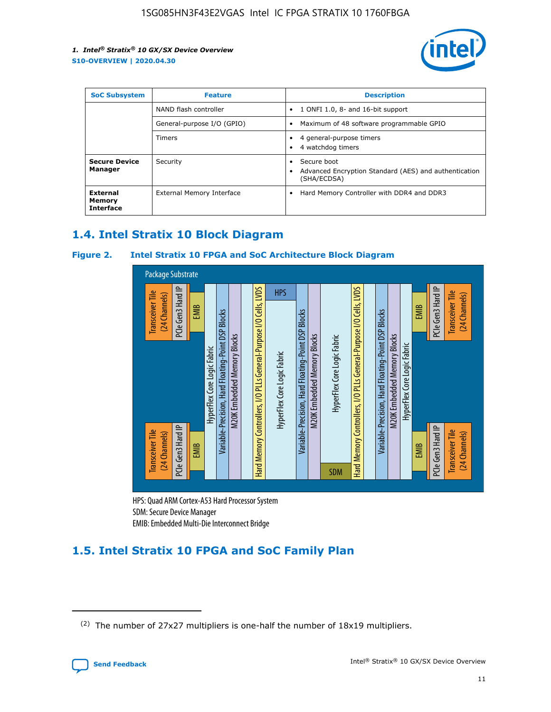

| <b>SoC Subsystem</b>                          | <b>Feature</b>             | <b>Description</b>                                                                                    |  |  |
|-----------------------------------------------|----------------------------|-------------------------------------------------------------------------------------------------------|--|--|
|                                               | NAND flash controller      | 1 ONFI 1.0, 8- and 16-bit support<br>$\bullet$                                                        |  |  |
|                                               | General-purpose I/O (GPIO) | Maximum of 48 software programmable GPIO<br>$\bullet$                                                 |  |  |
|                                               | <b>Timers</b>              | 4 general-purpose timers<br>٠<br>4 watchdog timers<br>٠                                               |  |  |
| <b>Secure Device</b><br>Manager               | Security                   | Secure boot<br>$\bullet$<br>Advanced Encryption Standard (AES) and authentication<br>٠<br>(SHA/ECDSA) |  |  |
| <b>External</b><br>Memory<br><b>Interface</b> | External Memory Interface  | Hard Memory Controller with DDR4 and DDR3<br>$\bullet$                                                |  |  |

### **1.4. Intel Stratix 10 Block Diagram**

### **Figure 2. Intel Stratix 10 FPGA and SoC Architecture Block Diagram**



HPS: Quad ARM Cortex-A53 Hard Processor System SDM: Secure Device Manager

## **1.5. Intel Stratix 10 FPGA and SoC Family Plan**

<sup>(2)</sup> The number of 27x27 multipliers is one-half the number of 18x19 multipliers.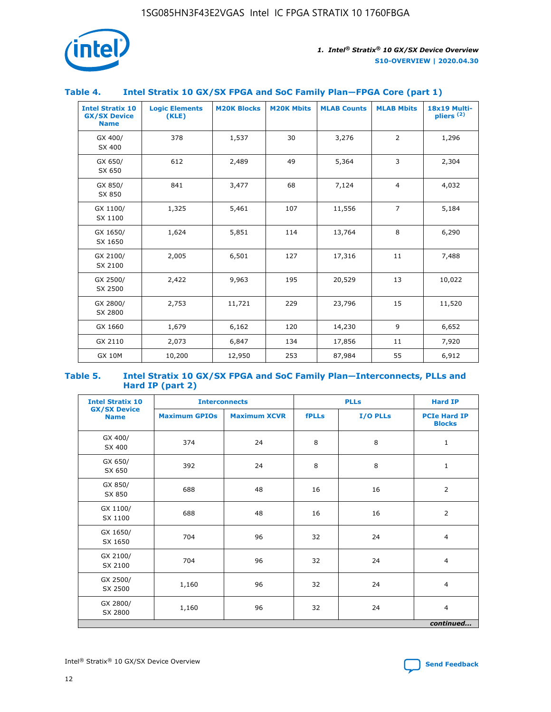

### **Table 4. Intel Stratix 10 GX/SX FPGA and SoC Family Plan—FPGA Core (part 1)**

| <b>Intel Stratix 10</b><br><b>GX/SX Device</b><br><b>Name</b> | <b>Logic Elements</b><br>(KLE) | <b>M20K Blocks</b> | <b>M20K Mbits</b> | <b>MLAB Counts</b> | <b>MLAB Mbits</b> | <b>18x19 Multi-</b><br>pliers <sup>(2)</sup> |
|---------------------------------------------------------------|--------------------------------|--------------------|-------------------|--------------------|-------------------|----------------------------------------------|
| GX 400/<br>SX 400                                             | 378                            | 1,537              | 30                | 3,276              | 2                 | 1,296                                        |
| GX 650/<br>SX 650                                             | 612                            | 2,489              | 49                | 5,364              | 3                 | 2,304                                        |
| GX 850/<br>SX 850                                             | 841                            | 3,477              | 68                | 7,124              | $\overline{4}$    | 4,032                                        |
| GX 1100/<br>SX 1100                                           | 1,325                          | 5,461              | 107               | 11,556             | $\overline{7}$    | 5,184                                        |
| GX 1650/<br>SX 1650                                           | 1,624                          | 5,851              | 114               | 13,764             | 8                 | 6,290                                        |
| GX 2100/<br>SX 2100                                           | 2,005                          | 6,501              | 127               | 17,316             | 11                | 7,488                                        |
| GX 2500/<br>SX 2500                                           | 2,422                          | 9,963              | 195               | 20,529             | 13                | 10,022                                       |
| GX 2800/<br>SX 2800                                           | 2,753                          | 11,721             | 229               | 23,796             | 15                | 11,520                                       |
| GX 1660                                                       | 1,679                          | 6,162              | 120               | 14,230             | 9                 | 6,652                                        |
| GX 2110                                                       | 2,073                          | 6,847              | 134               | 17,856             | 11                | 7,920                                        |
| <b>GX 10M</b>                                                 | 10,200                         | 12,950             | 253               | 87,984             | 55                | 6,912                                        |

#### **Table 5. Intel Stratix 10 GX/SX FPGA and SoC Family Plan—Interconnects, PLLs and Hard IP (part 2)**

| <b>Intel Stratix 10</b>            |                      | <b>PLLs</b><br><b>Interconnects</b> |              |          | <b>Hard IP</b>                       |  |
|------------------------------------|----------------------|-------------------------------------|--------------|----------|--------------------------------------|--|
| <b>GX/SX Device</b><br><b>Name</b> | <b>Maximum GPIOs</b> | <b>Maximum XCVR</b>                 | <b>fPLLs</b> | I/O PLLs | <b>PCIe Hard IP</b><br><b>Blocks</b> |  |
| GX 400/<br>SX 400                  | 374                  | 24                                  | 8            | 8        | $\mathbf{1}$                         |  |
| GX 650/<br>SX 650                  | 392                  | 24                                  | 8            | 8        | $\mathbf{1}$                         |  |
| GX 850/<br>SX 850                  | 688                  | 48                                  | 16           | 16       | 2                                    |  |
| GX 1100/<br>SX 1100                | 688                  | 48                                  | 16           | 16       | 2                                    |  |
| GX 1650/<br>SX 1650                | 704                  | 96                                  | 32           | 24       | $\overline{4}$                       |  |
| GX 2100/<br>SX 2100                | 704                  | 96                                  | 32           | 24       | 4                                    |  |
| GX 2500/<br>SX 2500                | 1,160                | 96                                  | 32           | 24       | $\overline{4}$                       |  |
| GX 2800/<br>SX 2800                | 1,160                | 96                                  | 32           | 24       | $\overline{4}$                       |  |
| continued                          |                      |                                     |              |          |                                      |  |

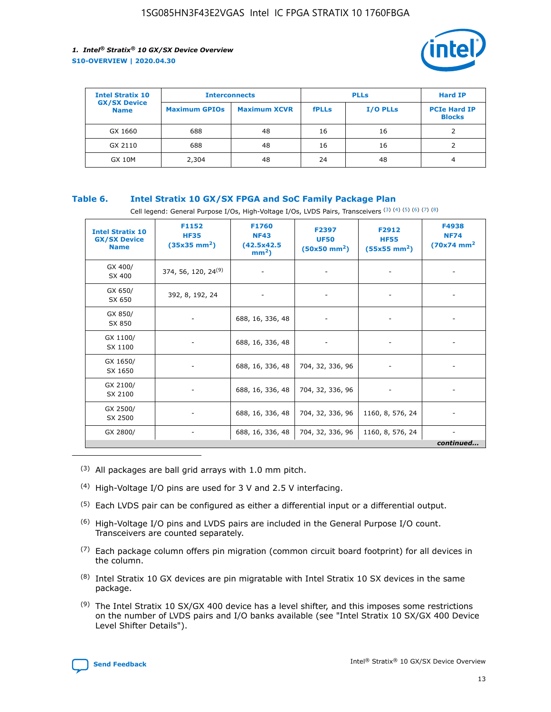

| <b>Intel Stratix 10</b>            | <b>Interconnects</b> |                     | <b>PLLs</b>  |                 | <b>Hard IP</b>                       |
|------------------------------------|----------------------|---------------------|--------------|-----------------|--------------------------------------|
| <b>GX/SX Device</b><br><b>Name</b> | <b>Maximum GPIOs</b> | <b>Maximum XCVR</b> | <b>fPLLs</b> | <b>I/O PLLs</b> | <b>PCIe Hard IP</b><br><b>Blocks</b> |
| GX 1660                            | 688                  | 48                  | 16           | 16              |                                      |
| GX 2110                            | 688                  | 48                  | 16           | 16              |                                      |
| <b>GX 10M</b>                      | 2,304                | 48                  | 24           | 48              | 4                                    |

### **Table 6. Intel Stratix 10 GX/SX FPGA and SoC Family Package Plan**

Cell legend: General Purpose I/Os, High-Voltage I/Os, LVDS Pairs, Transceivers (3) (4) (5) (6) (7) (8)

| <b>Intel Stratix 10</b><br><b>GX/SX Device</b><br><b>Name</b> | F1152<br><b>HF35</b><br>$(35x35 \text{ mm}^2)$ | F1760<br><b>NF43</b><br>(42.5x42.5<br>$mm2$ ) | F2397<br><b>UF50</b><br>$(50x50 \text{ mm}^2)$ | F2912<br><b>HF55</b><br>$(55x55$ mm <sup>2</sup> ) | F4938<br><b>NF74</b><br>$(70x74)$ mm <sup>2</sup> |
|---------------------------------------------------------------|------------------------------------------------|-----------------------------------------------|------------------------------------------------|----------------------------------------------------|---------------------------------------------------|
| GX 400/<br>SX 400                                             | 374, 56, 120, 24 <sup>(9)</sup>                | $\overline{\phantom{a}}$                      | $\overline{\phantom{a}}$                       | ۰                                                  |                                                   |
| GX 650/<br>SX 650                                             | 392, 8, 192, 24                                | $\overline{\phantom{a}}$                      | $\overline{\phantom{a}}$                       |                                                    |                                                   |
| GX 850/<br>SX 850                                             | ۰.                                             | 688, 16, 336, 48                              |                                                |                                                    |                                                   |
| GX 1100/<br>SX 1100                                           |                                                | 688, 16, 336, 48                              |                                                |                                                    |                                                   |
| GX 1650/<br>SX 1650                                           |                                                | 688, 16, 336, 48                              | 704, 32, 336, 96                               |                                                    |                                                   |
| GX 2100/<br>SX 2100                                           | -                                              | 688, 16, 336, 48                              | 704, 32, 336, 96                               | $\overline{\phantom{a}}$                           |                                                   |
| GX 2500/<br>SX 2500                                           |                                                | 688, 16, 336, 48                              | 704, 32, 336, 96                               | 1160, 8, 576, 24                                   |                                                   |
| GX 2800/                                                      | ۰                                              | 688, 16, 336, 48                              | 704, 32, 336, 96                               | 1160, 8, 576, 24                                   | $\overline{\phantom{a}}$<br>continued             |

- (3) All packages are ball grid arrays with 1.0 mm pitch.
- (4) High-Voltage I/O pins are used for 3 V and 2.5 V interfacing.
- $(5)$  Each LVDS pair can be configured as either a differential input or a differential output.
- (6) High-Voltage I/O pins and LVDS pairs are included in the General Purpose I/O count. Transceivers are counted separately.
- $(7)$  Each package column offers pin migration (common circuit board footprint) for all devices in the column.
- $(8)$  Intel Stratix 10 GX devices are pin migratable with Intel Stratix 10 SX devices in the same package.
- $(9)$  The Intel Stratix 10 SX/GX 400 device has a level shifter, and this imposes some restrictions on the number of LVDS pairs and I/O banks available (see "Intel Stratix 10 SX/GX 400 Device Level Shifter Details").

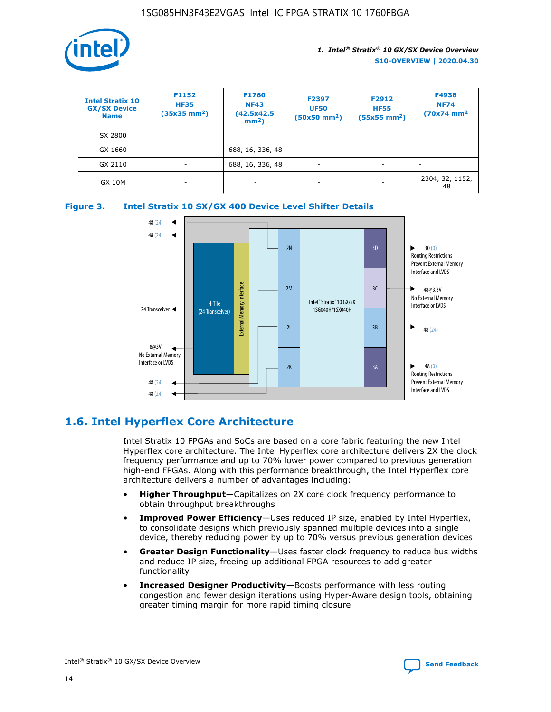

| <b>Intel Stratix 10</b><br><b>GX/SX Device</b><br><b>Name</b> | F1152<br><b>HF35</b><br>$(35x35)$ mm <sup>2</sup> ) | <b>F1760</b><br><b>NF43</b><br>(42.5x42.5<br>$mm2$ ) | F2397<br><b>UF50</b><br>$(50x50 \text{ mm}^2)$ | F2912<br><b>HF55</b><br>$(55x55$ mm <sup>2</sup> ) | F4938<br><b>NF74</b><br>$(70x74)$ mm <sup>2</sup> |
|---------------------------------------------------------------|-----------------------------------------------------|------------------------------------------------------|------------------------------------------------|----------------------------------------------------|---------------------------------------------------|
| SX 2800                                                       |                                                     |                                                      |                                                |                                                    |                                                   |
| GX 1660                                                       | -                                                   | 688, 16, 336, 48                                     | $\overline{\phantom{a}}$                       |                                                    |                                                   |
| GX 2110                                                       |                                                     | 688, 16, 336, 48                                     | $\overline{\phantom{a}}$                       |                                                    |                                                   |
| <b>GX 10M</b>                                                 | ۰                                                   |                                                      |                                                |                                                    | 2304, 32, 1152,<br>48                             |





### **1.6. Intel Hyperflex Core Architecture**

Intel Stratix 10 FPGAs and SoCs are based on a core fabric featuring the new Intel Hyperflex core architecture. The Intel Hyperflex core architecture delivers 2X the clock frequency performance and up to 70% lower power compared to previous generation high-end FPGAs. Along with this performance breakthrough, the Intel Hyperflex core architecture delivers a number of advantages including:

- **Higher Throughput**—Capitalizes on 2X core clock frequency performance to obtain throughput breakthroughs
- **Improved Power Efficiency**—Uses reduced IP size, enabled by Intel Hyperflex, to consolidate designs which previously spanned multiple devices into a single device, thereby reducing power by up to 70% versus previous generation devices
- **Greater Design Functionality**—Uses faster clock frequency to reduce bus widths and reduce IP size, freeing up additional FPGA resources to add greater functionality
- **Increased Designer Productivity**—Boosts performance with less routing congestion and fewer design iterations using Hyper-Aware design tools, obtaining greater timing margin for more rapid timing closure

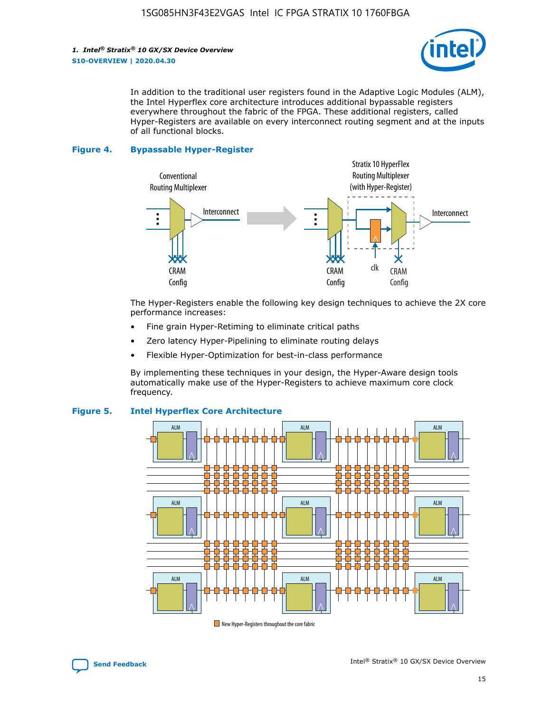

In addition to the traditional user registers found in the Adaptive Logic Modules (ALM), the Intel Hyperflex core architecture introduces additional bypassable registers everywhere throughout the fabric of the FPGA. These additional registers, called Hyper-Registers are available on every interconnect routing segment and at the inputs of all functional blocks.

#### **Figure 4. Bypassable Hyper-Register**



The Hyper-Registers enable the following key design techniques to achieve the 2X core performance increases:

- Fine grain Hyper-Retiming to eliminate critical paths
- Zero latency Hyper-Pipelining to eliminate routing delays
- Flexible Hyper-Optimization for best-in-class performance

By implementing these techniques in your design, the Hyper-Aware design tools automatically make use of the Hyper-Registers to achieve maximum core clock frequency.



### **Figure 5. Intel Hyperflex Core Architecture**

New Hyper-Registers throughout the core fabric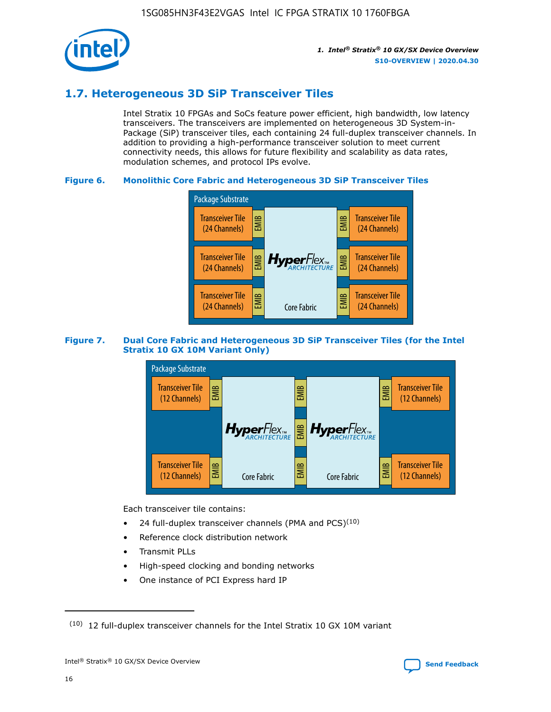

### **1.7. Heterogeneous 3D SiP Transceiver Tiles**

Intel Stratix 10 FPGAs and SoCs feature power efficient, high bandwidth, low latency transceivers. The transceivers are implemented on heterogeneous 3D System-in-Package (SiP) transceiver tiles, each containing 24 full-duplex transceiver channels. In addition to providing a high-performance transceiver solution to meet current connectivity needs, this allows for future flexibility and scalability as data rates, modulation schemes, and protocol IPs evolve.

### **Figure 6. Monolithic Core Fabric and Heterogeneous 3D SiP Transceiver Tiles**



### **Figure 7. Dual Core Fabric and Heterogeneous 3D SiP Transceiver Tiles (for the Intel Stratix 10 GX 10M Variant Only)**



Each transceiver tile contains:

- 24 full-duplex transceiver channels (PMA and PCS) $(10)$
- Reference clock distribution network
- Transmit PLLs
- High-speed clocking and bonding networks
- One instance of PCI Express hard IP

 $(10)$  12 full-duplex transceiver channels for the Intel Stratix 10 GX 10M variant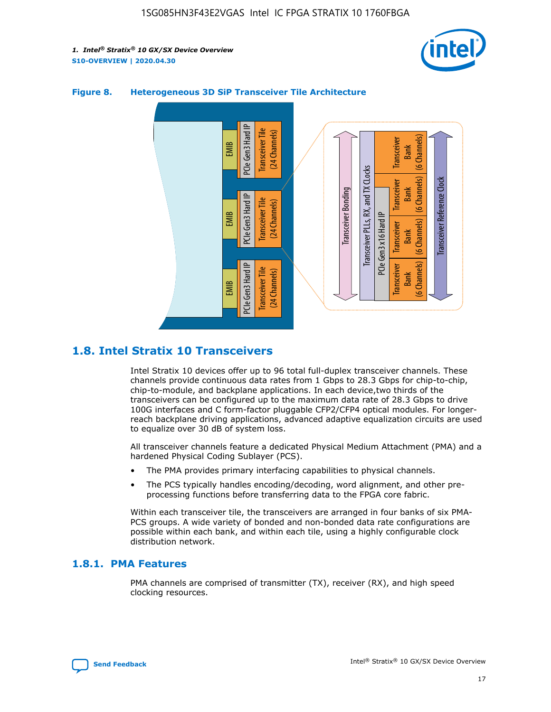



### **Figure 8. Heterogeneous 3D SiP Transceiver Tile Architecture**

### **1.8. Intel Stratix 10 Transceivers**

Intel Stratix 10 devices offer up to 96 total full-duplex transceiver channels. These channels provide continuous data rates from 1 Gbps to 28.3 Gbps for chip-to-chip, chip-to-module, and backplane applications. In each device,two thirds of the transceivers can be configured up to the maximum data rate of 28.3 Gbps to drive 100G interfaces and C form-factor pluggable CFP2/CFP4 optical modules. For longerreach backplane driving applications, advanced adaptive equalization circuits are used to equalize over 30 dB of system loss.

All transceiver channels feature a dedicated Physical Medium Attachment (PMA) and a hardened Physical Coding Sublayer (PCS).

- The PMA provides primary interfacing capabilities to physical channels.
- The PCS typically handles encoding/decoding, word alignment, and other preprocessing functions before transferring data to the FPGA core fabric.

Within each transceiver tile, the transceivers are arranged in four banks of six PMA-PCS groups. A wide variety of bonded and non-bonded data rate configurations are possible within each bank, and within each tile, using a highly configurable clock distribution network.

### **1.8.1. PMA Features**

PMA channels are comprised of transmitter (TX), receiver (RX), and high speed clocking resources.

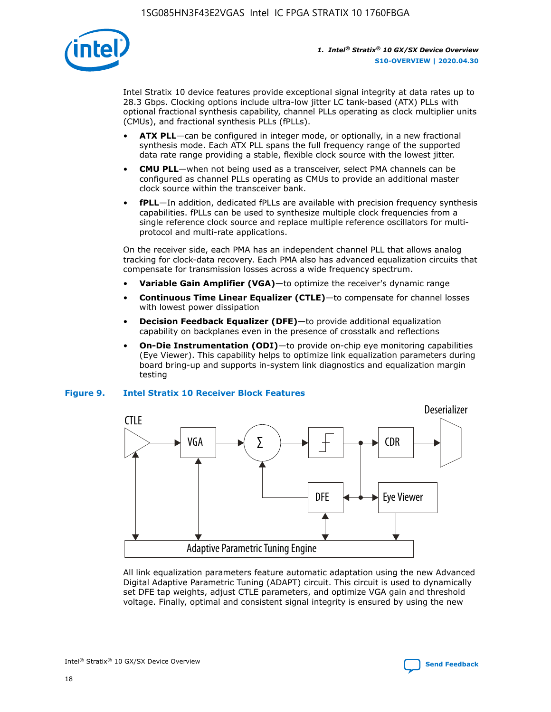

Intel Stratix 10 device features provide exceptional signal integrity at data rates up to 28.3 Gbps. Clocking options include ultra-low jitter LC tank-based (ATX) PLLs with optional fractional synthesis capability, channel PLLs operating as clock multiplier units (CMUs), and fractional synthesis PLLs (fPLLs).

- **ATX PLL**—can be configured in integer mode, or optionally, in a new fractional synthesis mode. Each ATX PLL spans the full frequency range of the supported data rate range providing a stable, flexible clock source with the lowest jitter.
- **CMU PLL**—when not being used as a transceiver, select PMA channels can be configured as channel PLLs operating as CMUs to provide an additional master clock source within the transceiver bank.
- **fPLL**—In addition, dedicated fPLLs are available with precision frequency synthesis capabilities. fPLLs can be used to synthesize multiple clock frequencies from a single reference clock source and replace multiple reference oscillators for multiprotocol and multi-rate applications.

On the receiver side, each PMA has an independent channel PLL that allows analog tracking for clock-data recovery. Each PMA also has advanced equalization circuits that compensate for transmission losses across a wide frequency spectrum.

- **Variable Gain Amplifier (VGA)**—to optimize the receiver's dynamic range
- **Continuous Time Linear Equalizer (CTLE)**—to compensate for channel losses with lowest power dissipation
- **Decision Feedback Equalizer (DFE)**—to provide additional equalization capability on backplanes even in the presence of crosstalk and reflections
- **On-Die Instrumentation (ODI)**—to provide on-chip eye monitoring capabilities (Eye Viewer). This capability helps to optimize link equalization parameters during board bring-up and supports in-system link diagnostics and equalization margin testing

### **Figure 9. Intel Stratix 10 Receiver Block Features**



All link equalization parameters feature automatic adaptation using the new Advanced Digital Adaptive Parametric Tuning (ADAPT) circuit. This circuit is used to dynamically set DFE tap weights, adjust CTLE parameters, and optimize VGA gain and threshold voltage. Finally, optimal and consistent signal integrity is ensured by using the new



Intel<sup>®</sup> Stratix<sup>®</sup> 10 GX/SX Device Overview **[Send Feedback](mailto:FPGAtechdocfeedback@intel.com?subject=Feedback%20on%20Intel%20Stratix%2010%20GX/SX%20Device%20Overview%20(S10-OVERVIEW%202020.04.30)&body=We%20appreciate%20your%20feedback.%20In%20your%20comments,%20also%20specify%20the%20page%20number%20or%20paragraph.%20Thank%20you.)** Send Feedback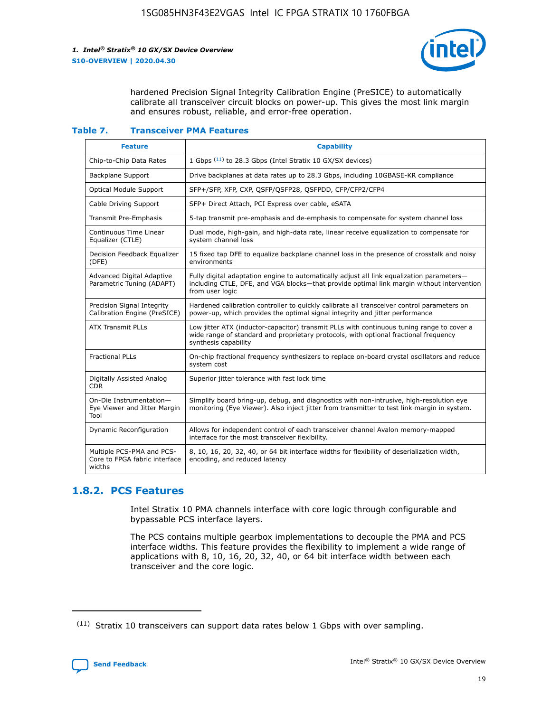

hardened Precision Signal Integrity Calibration Engine (PreSICE) to automatically calibrate all transceiver circuit blocks on power-up. This gives the most link margin and ensures robust, reliable, and error-free operation.

#### **Table 7. Transceiver PMA Features**

| <b>Feature</b>                                                       | <b>Capability</b>                                                                                                                                                                                         |
|----------------------------------------------------------------------|-----------------------------------------------------------------------------------------------------------------------------------------------------------------------------------------------------------|
| Chip-to-Chip Data Rates                                              | 1 Gbps (11) to 28.3 Gbps (Intel Stratix 10 GX/SX devices)                                                                                                                                                 |
| <b>Backplane Support</b>                                             | Drive backplanes at data rates up to 28.3 Gbps, including 10GBASE-KR compliance                                                                                                                           |
| Optical Module Support                                               | SFP+/SFP, XFP, CXP, QSFP/QSFP28, QSFPDD, CFP/CFP2/CFP4                                                                                                                                                    |
| Cable Driving Support                                                | SFP+ Direct Attach, PCI Express over cable, eSATA                                                                                                                                                         |
| <b>Transmit Pre-Emphasis</b>                                         | 5-tap transmit pre-emphasis and de-emphasis to compensate for system channel loss                                                                                                                         |
| Continuous Time Linear<br>Equalizer (CTLE)                           | Dual mode, high-gain, and high-data rate, linear receive equalization to compensate for<br>system channel loss                                                                                            |
| Decision Feedback Equalizer<br>(DFE)                                 | 15 fixed tap DFE to equalize backplane channel loss in the presence of crosstalk and noisy<br>environments                                                                                                |
| Advanced Digital Adaptive<br>Parametric Tuning (ADAPT)               | Fully digital adaptation engine to automatically adjust all link equalization parameters-<br>including CTLE, DFE, and VGA blocks-that provide optimal link margin without intervention<br>from user logic |
| Precision Signal Integrity<br>Calibration Engine (PreSICE)           | Hardened calibration controller to quickly calibrate all transceiver control parameters on<br>power-up, which provides the optimal signal integrity and jitter performance                                |
| <b>ATX Transmit PLLs</b>                                             | Low jitter ATX (inductor-capacitor) transmit PLLs with continuous tuning range to cover a<br>wide range of standard and proprietary protocols, with optional fractional frequency<br>synthesis capability |
| <b>Fractional PLLs</b>                                               | On-chip fractional frequency synthesizers to replace on-board crystal oscillators and reduce<br>system cost                                                                                               |
| Digitally Assisted Analog<br>CDR.                                    | Superior jitter tolerance with fast lock time                                                                                                                                                             |
| On-Die Instrumentation-<br>Eye Viewer and Jitter Margin<br>Tool      | Simplify board bring-up, debug, and diagnostics with non-intrusive, high-resolution eye<br>monitoring (Eye Viewer). Also inject jitter from transmitter to test link margin in system.                    |
| Dynamic Reconfiguration                                              | Allows for independent control of each transceiver channel Avalon memory-mapped<br>interface for the most transceiver flexibility.                                                                        |
| Multiple PCS-PMA and PCS-<br>Core to FPGA fabric interface<br>widths | 8, 10, 16, 20, 32, 40, or 64 bit interface widths for flexibility of deserialization width,<br>encoding, and reduced latency                                                                              |

### **1.8.2. PCS Features**

Intel Stratix 10 PMA channels interface with core logic through configurable and bypassable PCS interface layers.

The PCS contains multiple gearbox implementations to decouple the PMA and PCS interface widths. This feature provides the flexibility to implement a wide range of applications with 8, 10, 16, 20, 32, 40, or 64 bit interface width between each transceiver and the core logic.

 $(11)$  Stratix 10 transceivers can support data rates below 1 Gbps with over sampling.

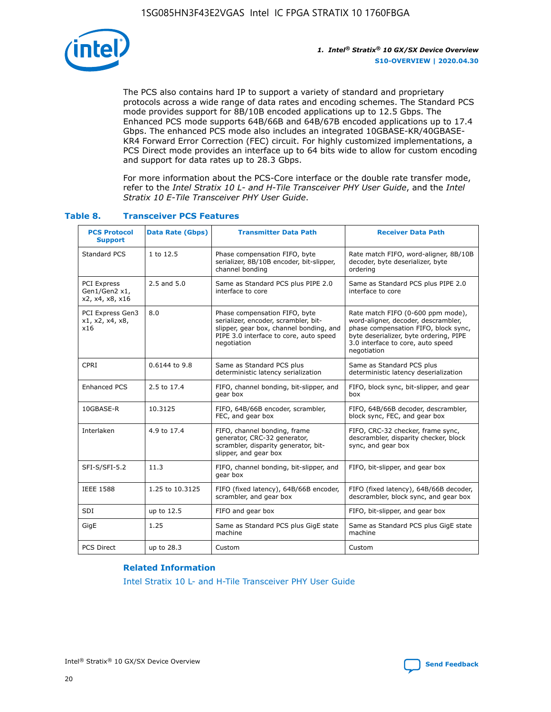

The PCS also contains hard IP to support a variety of standard and proprietary protocols across a wide range of data rates and encoding schemes. The Standard PCS mode provides support for 8B/10B encoded applications up to 12.5 Gbps. The Enhanced PCS mode supports 64B/66B and 64B/67B encoded applications up to 17.4 Gbps. The enhanced PCS mode also includes an integrated 10GBASE-KR/40GBASE-KR4 Forward Error Correction (FEC) circuit. For highly customized implementations, a PCS Direct mode provides an interface up to 64 bits wide to allow for custom encoding and support for data rates up to 28.3 Gbps.

For more information about the PCS-Core interface or the double rate transfer mode, refer to the *Intel Stratix 10 L- and H-Tile Transceiver PHY User Guide*, and the *Intel Stratix 10 E-Tile Transceiver PHY User Guide*.

| <b>PCS Protocol</b><br><b>Support</b>           | <b>Data Rate (Gbps)</b> | <b>Transmitter Data Path</b>                                                                                                                                              | <b>Receiver Data Path</b>                                                                                                                                                                                      |
|-------------------------------------------------|-------------------------|---------------------------------------------------------------------------------------------------------------------------------------------------------------------------|----------------------------------------------------------------------------------------------------------------------------------------------------------------------------------------------------------------|
| Standard PCS                                    | 1 to 12.5               | Phase compensation FIFO, byte<br>serializer, 8B/10B encoder, bit-slipper,<br>channel bonding                                                                              | Rate match FIFO, word-aligner, 8B/10B<br>decoder, byte deserializer, byte<br>ordering                                                                                                                          |
| PCI Express<br>Gen1/Gen2 x1,<br>x2, x4, x8, x16 | $2.5$ and $5.0$         | Same as Standard PCS plus PIPE 2.0<br>interface to core                                                                                                                   | Same as Standard PCS plus PIPE 2.0<br>interface to core                                                                                                                                                        |
| PCI Express Gen3<br>x1, x2, x4, x8,<br>x16      | 8.0                     | Phase compensation FIFO, byte<br>serializer, encoder, scrambler, bit-<br>slipper, gear box, channel bonding, and<br>PIPE 3.0 interface to core, auto speed<br>negotiation | Rate match FIFO (0-600 ppm mode),<br>word-aligner, decoder, descrambler,<br>phase compensation FIFO, block sync,<br>byte deserializer, byte ordering, PIPE<br>3.0 interface to core, auto speed<br>negotiation |
| CPRI                                            | 0.6144 to 9.8           | Same as Standard PCS plus<br>deterministic latency serialization                                                                                                          | Same as Standard PCS plus<br>deterministic latency deserialization                                                                                                                                             |
| <b>Enhanced PCS</b>                             | 2.5 to 17.4             | FIFO, channel bonding, bit-slipper, and<br>gear box                                                                                                                       | FIFO, block sync, bit-slipper, and gear<br>box                                                                                                                                                                 |
| 10GBASE-R                                       | 10.3125                 | FIFO, 64B/66B encoder, scrambler,<br>FEC, and gear box                                                                                                                    | FIFO, 64B/66B decoder, descrambler,<br>block sync, FEC, and gear box                                                                                                                                           |
| Interlaken                                      | 4.9 to 17.4             | FIFO, channel bonding, frame<br>generator, CRC-32 generator,<br>scrambler, disparity generator, bit-<br>slipper, and gear box                                             | FIFO, CRC-32 checker, frame sync,<br>descrambler, disparity checker, block<br>sync, and gear box                                                                                                               |
| SFI-S/SFI-5.2                                   | 11.3                    | FIFO, channel bonding, bit-slipper, and<br>gear box                                                                                                                       | FIFO, bit-slipper, and gear box                                                                                                                                                                                |
| <b>IEEE 1588</b>                                | 1.25 to 10.3125         | FIFO (fixed latency), 64B/66B encoder,<br>scrambler, and gear box                                                                                                         | FIFO (fixed latency), 64B/66B decoder,<br>descrambler, block sync, and gear box                                                                                                                                |
| SDI                                             | up to 12.5              | FIFO and gear box                                                                                                                                                         | FIFO, bit-slipper, and gear box                                                                                                                                                                                |
| GigE                                            | 1.25                    | Same as Standard PCS plus GigE state<br>machine                                                                                                                           | Same as Standard PCS plus GigE state<br>machine                                                                                                                                                                |
| <b>PCS Direct</b>                               | up to 28.3              | Custom                                                                                                                                                                    | Custom                                                                                                                                                                                                         |

### **Table 8. Transceiver PCS Features**

#### **Related Information**

[Intel Stratix 10 L- and H-Tile Transceiver PHY User Guide](https://www.altera.com/documentation/wry1479165198810.html)

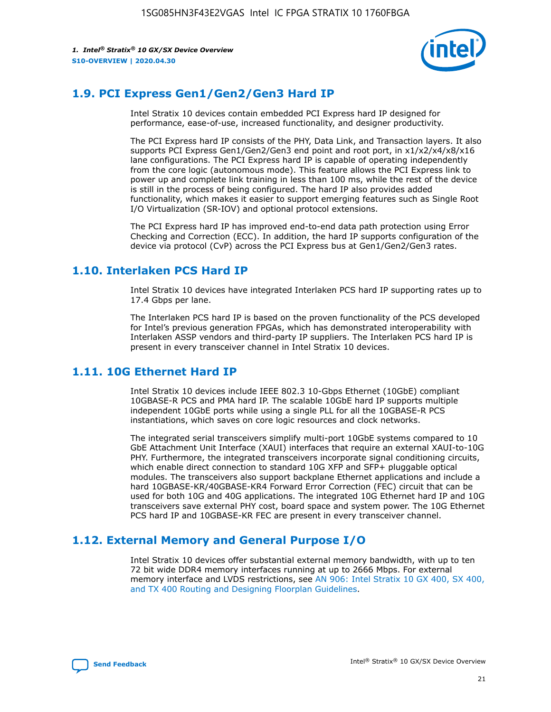

### **1.9. PCI Express Gen1/Gen2/Gen3 Hard IP**

Intel Stratix 10 devices contain embedded PCI Express hard IP designed for performance, ease-of-use, increased functionality, and designer productivity.

The PCI Express hard IP consists of the PHY, Data Link, and Transaction layers. It also supports PCI Express Gen1/Gen2/Gen3 end point and root port, in x1/x2/x4/x8/x16 lane configurations. The PCI Express hard IP is capable of operating independently from the core logic (autonomous mode). This feature allows the PCI Express link to power up and complete link training in less than 100 ms, while the rest of the device is still in the process of being configured. The hard IP also provides added functionality, which makes it easier to support emerging features such as Single Root I/O Virtualization (SR-IOV) and optional protocol extensions.

The PCI Express hard IP has improved end-to-end data path protection using Error Checking and Correction (ECC). In addition, the hard IP supports configuration of the device via protocol (CvP) across the PCI Express bus at Gen1/Gen2/Gen3 rates.

### **1.10. Interlaken PCS Hard IP**

Intel Stratix 10 devices have integrated Interlaken PCS hard IP supporting rates up to 17.4 Gbps per lane.

The Interlaken PCS hard IP is based on the proven functionality of the PCS developed for Intel's previous generation FPGAs, which has demonstrated interoperability with Interlaken ASSP vendors and third-party IP suppliers. The Interlaken PCS hard IP is present in every transceiver channel in Intel Stratix 10 devices.

### **1.11. 10G Ethernet Hard IP**

Intel Stratix 10 devices include IEEE 802.3 10-Gbps Ethernet (10GbE) compliant 10GBASE-R PCS and PMA hard IP. The scalable 10GbE hard IP supports multiple independent 10GbE ports while using a single PLL for all the 10GBASE-R PCS instantiations, which saves on core logic resources and clock networks.

The integrated serial transceivers simplify multi-port 10GbE systems compared to 10 GbE Attachment Unit Interface (XAUI) interfaces that require an external XAUI-to-10G PHY. Furthermore, the integrated transceivers incorporate signal conditioning circuits, which enable direct connection to standard 10G XFP and SFP+ pluggable optical modules. The transceivers also support backplane Ethernet applications and include a hard 10GBASE-KR/40GBASE-KR4 Forward Error Correction (FEC) circuit that can be used for both 10G and 40G applications. The integrated 10G Ethernet hard IP and 10G transceivers save external PHY cost, board space and system power. The 10G Ethernet PCS hard IP and 10GBASE-KR FEC are present in every transceiver channel.

### **1.12. External Memory and General Purpose I/O**

Intel Stratix 10 devices offer substantial external memory bandwidth, with up to ten 72 bit wide DDR4 memory interfaces running at up to 2666 Mbps. For external memory interface and LVDS restrictions, see [AN 906: Intel Stratix 10 GX 400, SX 400,](https://www.intel.com/content/www/us/en/programmable/documentation/sjf1574667190623.html#bft1574667627484) [and TX 400 Routing and Designing Floorplan Guidelines.](https://www.intel.com/content/www/us/en/programmable/documentation/sjf1574667190623.html#bft1574667627484)

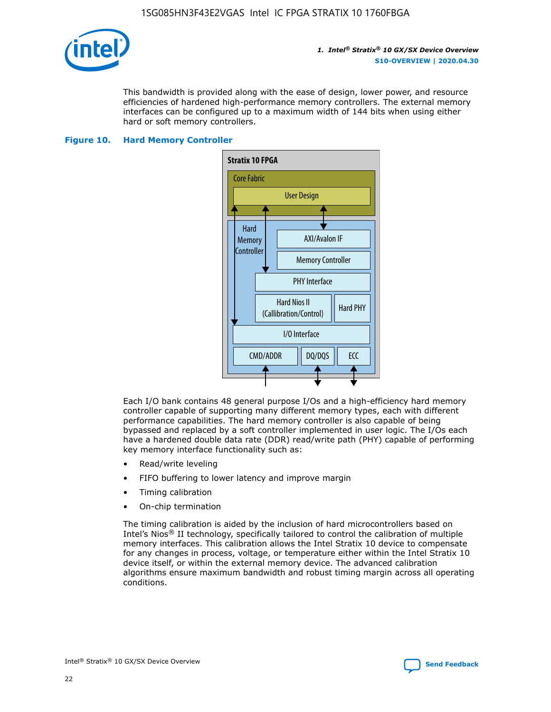

This bandwidth is provided along with the ease of design, lower power, and resource efficiencies of hardened high-performance memory controllers. The external memory interfaces can be configured up to a maximum width of 144 bits when using either hard or soft memory controllers.

#### **Figure 10. Hard Memory Controller**



Each I/O bank contains 48 general purpose I/Os and a high-efficiency hard memory controller capable of supporting many different memory types, each with different performance capabilities. The hard memory controller is also capable of being bypassed and replaced by a soft controller implemented in user logic. The I/Os each have a hardened double data rate (DDR) read/write path (PHY) capable of performing key memory interface functionality such as:

- Read/write leveling
- FIFO buffering to lower latency and improve margin
- Timing calibration
- On-chip termination

The timing calibration is aided by the inclusion of hard microcontrollers based on Intel's Nios® II technology, specifically tailored to control the calibration of multiple memory interfaces. This calibration allows the Intel Stratix 10 device to compensate for any changes in process, voltage, or temperature either within the Intel Stratix 10 device itself, or within the external memory device. The advanced calibration algorithms ensure maximum bandwidth and robust timing margin across all operating conditions.

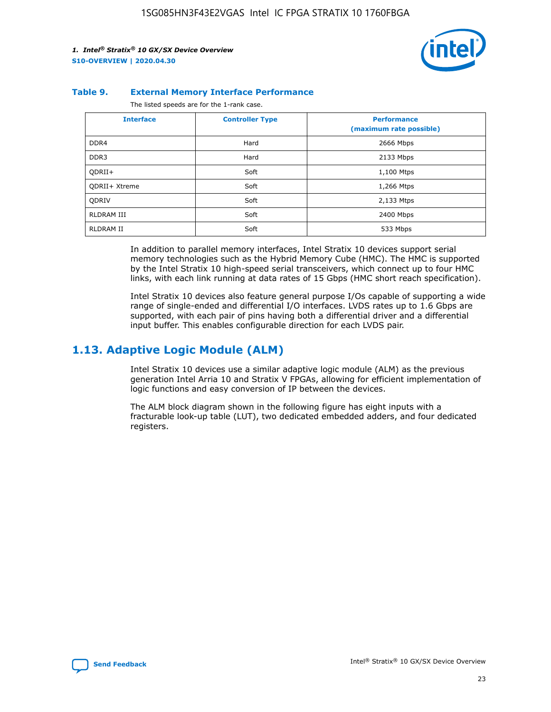

#### **Table 9. External Memory Interface Performance**

The listed speeds are for the 1-rank case.

| <b>Interface</b> | <b>Controller Type</b> | <b>Performance</b><br>(maximum rate possible) |
|------------------|------------------------|-----------------------------------------------|
| DDR4             | Hard                   | 2666 Mbps                                     |
| DDR <sub>3</sub> | Hard                   | 2133 Mbps                                     |
| QDRII+           | Soft                   | 1,100 Mtps                                    |
| QDRII+ Xtreme    | Soft                   | 1,266 Mtps                                    |
| <b>ODRIV</b>     | Soft                   | 2,133 Mtps                                    |
| RLDRAM III       | Soft                   | 2400 Mbps                                     |
| <b>RLDRAM II</b> | Soft                   | 533 Mbps                                      |

In addition to parallel memory interfaces, Intel Stratix 10 devices support serial memory technologies such as the Hybrid Memory Cube (HMC). The HMC is supported by the Intel Stratix 10 high-speed serial transceivers, which connect up to four HMC links, with each link running at data rates of 15 Gbps (HMC short reach specification).

Intel Stratix 10 devices also feature general purpose I/Os capable of supporting a wide range of single-ended and differential I/O interfaces. LVDS rates up to 1.6 Gbps are supported, with each pair of pins having both a differential driver and a differential input buffer. This enables configurable direction for each LVDS pair.

### **1.13. Adaptive Logic Module (ALM)**

Intel Stratix 10 devices use a similar adaptive logic module (ALM) as the previous generation Intel Arria 10 and Stratix V FPGAs, allowing for efficient implementation of logic functions and easy conversion of IP between the devices.

The ALM block diagram shown in the following figure has eight inputs with a fracturable look-up table (LUT), two dedicated embedded adders, and four dedicated registers.

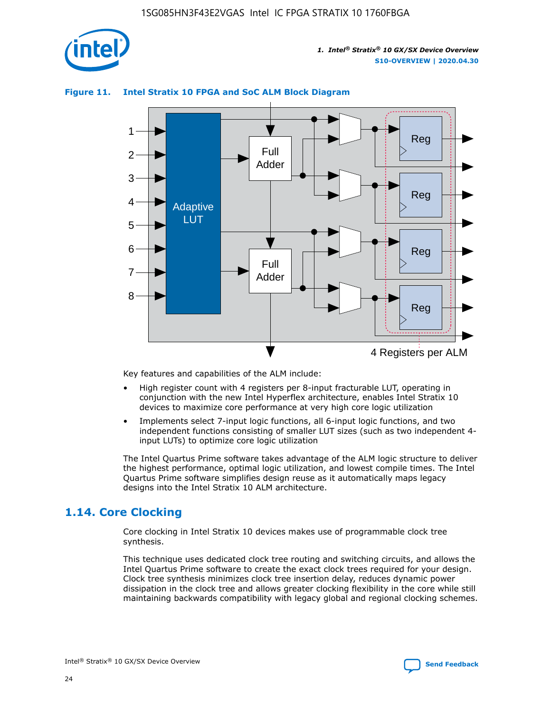

### **Figure 11. Intel Stratix 10 FPGA and SoC ALM Block Diagram**



Key features and capabilities of the ALM include:

- High register count with 4 registers per 8-input fracturable LUT, operating in conjunction with the new Intel Hyperflex architecture, enables Intel Stratix 10 devices to maximize core performance at very high core logic utilization
- Implements select 7-input logic functions, all 6-input logic functions, and two independent functions consisting of smaller LUT sizes (such as two independent 4 input LUTs) to optimize core logic utilization

The Intel Quartus Prime software takes advantage of the ALM logic structure to deliver the highest performance, optimal logic utilization, and lowest compile times. The Intel Quartus Prime software simplifies design reuse as it automatically maps legacy designs into the Intel Stratix 10 ALM architecture.

### **1.14. Core Clocking**

Core clocking in Intel Stratix 10 devices makes use of programmable clock tree synthesis.

This technique uses dedicated clock tree routing and switching circuits, and allows the Intel Quartus Prime software to create the exact clock trees required for your design. Clock tree synthesis minimizes clock tree insertion delay, reduces dynamic power dissipation in the clock tree and allows greater clocking flexibility in the core while still maintaining backwards compatibility with legacy global and regional clocking schemes.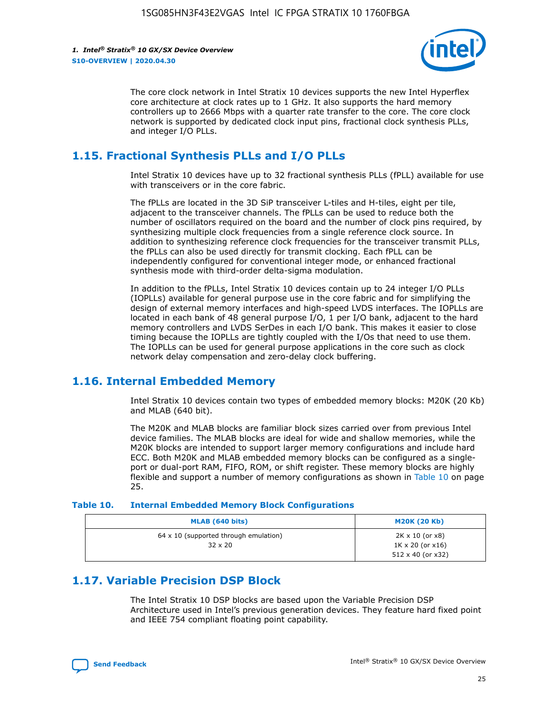

The core clock network in Intel Stratix 10 devices supports the new Intel Hyperflex core architecture at clock rates up to 1 GHz. It also supports the hard memory controllers up to 2666 Mbps with a quarter rate transfer to the core. The core clock network is supported by dedicated clock input pins, fractional clock synthesis PLLs, and integer I/O PLLs.

### **1.15. Fractional Synthesis PLLs and I/O PLLs**

Intel Stratix 10 devices have up to 32 fractional synthesis PLLs (fPLL) available for use with transceivers or in the core fabric.

The fPLLs are located in the 3D SiP transceiver L-tiles and H-tiles, eight per tile, adjacent to the transceiver channels. The fPLLs can be used to reduce both the number of oscillators required on the board and the number of clock pins required, by synthesizing multiple clock frequencies from a single reference clock source. In addition to synthesizing reference clock frequencies for the transceiver transmit PLLs, the fPLLs can also be used directly for transmit clocking. Each fPLL can be independently configured for conventional integer mode, or enhanced fractional synthesis mode with third-order delta-sigma modulation.

In addition to the fPLLs, Intel Stratix 10 devices contain up to 24 integer I/O PLLs (IOPLLs) available for general purpose use in the core fabric and for simplifying the design of external memory interfaces and high-speed LVDS interfaces. The IOPLLs are located in each bank of 48 general purpose I/O, 1 per I/O bank, adjacent to the hard memory controllers and LVDS SerDes in each I/O bank. This makes it easier to close timing because the IOPLLs are tightly coupled with the I/Os that need to use them. The IOPLLs can be used for general purpose applications in the core such as clock network delay compensation and zero-delay clock buffering.

### **1.16. Internal Embedded Memory**

Intel Stratix 10 devices contain two types of embedded memory blocks: M20K (20 Kb) and MLAB (640 bit).

The M20K and MLAB blocks are familiar block sizes carried over from previous Intel device families. The MLAB blocks are ideal for wide and shallow memories, while the M20K blocks are intended to support larger memory configurations and include hard ECC. Both M20K and MLAB embedded memory blocks can be configured as a singleport or dual-port RAM, FIFO, ROM, or shift register. These memory blocks are highly flexible and support a number of memory configurations as shown in Table 10 on page 25.

#### **Table 10. Internal Embedded Memory Block Configurations**

| MLAB (640 bits)                                                | <b>M20K (20 Kb)</b>                                                                    |
|----------------------------------------------------------------|----------------------------------------------------------------------------------------|
| $64 \times 10$ (supported through emulation)<br>$32 \times 20$ | $2K \times 10$ (or $x8$ )<br>$1K \times 20$ (or $x16$ )<br>$512 \times 40$ (or $x32$ ) |

### **1.17. Variable Precision DSP Block**

The Intel Stratix 10 DSP blocks are based upon the Variable Precision DSP Architecture used in Intel's previous generation devices. They feature hard fixed point and IEEE 754 compliant floating point capability.

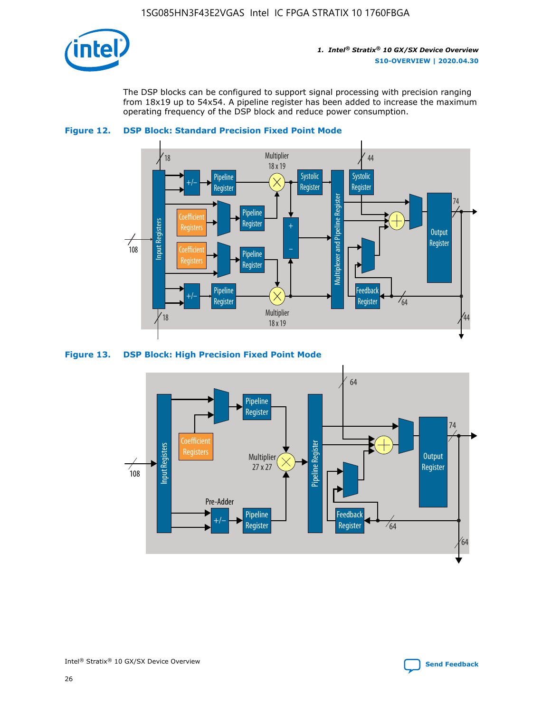

The DSP blocks can be configured to support signal processing with precision ranging from 18x19 up to 54x54. A pipeline register has been added to increase the maximum operating frequency of the DSP block and reduce power consumption.





#### **Figure 13. DSP Block: High Precision Fixed Point Mode**

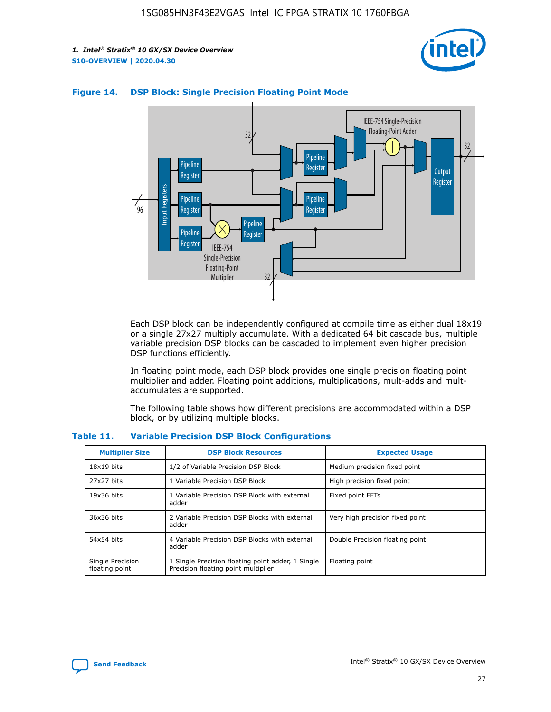



### **Figure 14. DSP Block: Single Precision Floating Point Mode**

Each DSP block can be independently configured at compile time as either dual 18x19 or a single 27x27 multiply accumulate. With a dedicated 64 bit cascade bus, multiple variable precision DSP blocks can be cascaded to implement even higher precision DSP functions efficiently.

In floating point mode, each DSP block provides one single precision floating point multiplier and adder. Floating point additions, multiplications, mult-adds and multaccumulates are supported.

The following table shows how different precisions are accommodated within a DSP block, or by utilizing multiple blocks.

| <b>Multiplier Size</b>             | <b>DSP Block Resources</b>                                                               | <b>Expected Usage</b>           |
|------------------------------------|------------------------------------------------------------------------------------------|---------------------------------|
| $18x19$ bits                       | 1/2 of Variable Precision DSP Block                                                      | Medium precision fixed point    |
| 27x27 bits                         | 1 Variable Precision DSP Block                                                           | High precision fixed point      |
| $19x36$ bits                       | 1 Variable Precision DSP Block with external<br>adder                                    | Fixed point FFTs                |
| 36x36 bits                         | 2 Variable Precision DSP Blocks with external<br>adder                                   | Very high precision fixed point |
| 54x54 bits                         | 4 Variable Precision DSP Blocks with external<br>adder                                   | Double Precision floating point |
| Single Precision<br>floating point | 1 Single Precision floating point adder, 1 Single<br>Precision floating point multiplier | Floating point                  |

#### **Table 11. Variable Precision DSP Block Configurations**

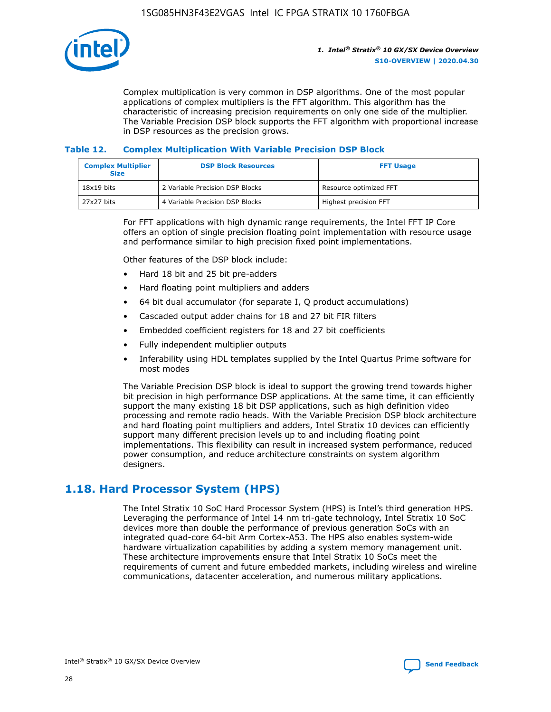

Complex multiplication is very common in DSP algorithms. One of the most popular applications of complex multipliers is the FFT algorithm. This algorithm has the characteristic of increasing precision requirements on only one side of the multiplier. The Variable Precision DSP block supports the FFT algorithm with proportional increase in DSP resources as the precision grows.

### **Table 12. Complex Multiplication With Variable Precision DSP Block**

| <b>Complex Multiplier</b><br><b>Size</b> | <b>DSP Block Resources</b>      | <b>FFT Usage</b>       |
|------------------------------------------|---------------------------------|------------------------|
| $18x19$ bits                             | 2 Variable Precision DSP Blocks | Resource optimized FFT |
| 27x27 bits                               | 4 Variable Precision DSP Blocks | Highest precision FFT  |

For FFT applications with high dynamic range requirements, the Intel FFT IP Core offers an option of single precision floating point implementation with resource usage and performance similar to high precision fixed point implementations.

Other features of the DSP block include:

- Hard 18 bit and 25 bit pre-adders
- Hard floating point multipliers and adders
- 64 bit dual accumulator (for separate I, Q product accumulations)
- Cascaded output adder chains for 18 and 27 bit FIR filters
- Embedded coefficient registers for 18 and 27 bit coefficients
- Fully independent multiplier outputs
- Inferability using HDL templates supplied by the Intel Quartus Prime software for most modes

The Variable Precision DSP block is ideal to support the growing trend towards higher bit precision in high performance DSP applications. At the same time, it can efficiently support the many existing 18 bit DSP applications, such as high definition video processing and remote radio heads. With the Variable Precision DSP block architecture and hard floating point multipliers and adders, Intel Stratix 10 devices can efficiently support many different precision levels up to and including floating point implementations. This flexibility can result in increased system performance, reduced power consumption, and reduce architecture constraints on system algorithm designers.

### **1.18. Hard Processor System (HPS)**

The Intel Stratix 10 SoC Hard Processor System (HPS) is Intel's third generation HPS. Leveraging the performance of Intel 14 nm tri-gate technology, Intel Stratix 10 SoC devices more than double the performance of previous generation SoCs with an integrated quad-core 64-bit Arm Cortex-A53. The HPS also enables system-wide hardware virtualization capabilities by adding a system memory management unit. These architecture improvements ensure that Intel Stratix 10 SoCs meet the requirements of current and future embedded markets, including wireless and wireline communications, datacenter acceleration, and numerous military applications.

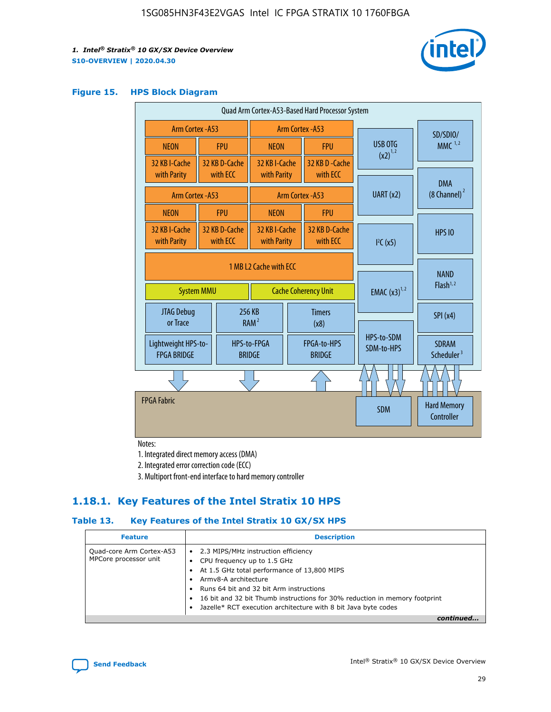

#### **Figure 15. HPS Block Diagram**

| Quad Arm Cortex-A53-Based Hard Processor System |                                             |                                                       |                                           |                          |                                     |                          |                                        |
|-------------------------------------------------|---------------------------------------------|-------------------------------------------------------|-------------------------------------------|--------------------------|-------------------------------------|--------------------------|----------------------------------------|
|                                                 | <b>Arm Cortex - A53</b><br>Arm Cortex - A53 |                                                       |                                           |                          |                                     |                          | SD/SDIO/                               |
| <b>NEON</b>                                     |                                             | <b>FPU</b>                                            | <b>NEON</b>                               |                          | <b>FPU</b>                          | USB OTG                  | $MMC$ <sup>1,2</sup>                   |
| 32 KB I-Cache<br>with Parity                    |                                             | 32 KB D-Cache<br>with ECC                             | 32 KB I-Cache<br>with Parity              |                          | 32 KB D - Cache<br>with ECC         | $(x2)^{1,2}$             |                                        |
|                                                 |                                             |                                                       |                                           |                          |                                     | UART (x2)                | <b>DMA</b><br>$(8 \text{ Channel})^2$  |
| Arm Cortex - A53                                |                                             |                                                       |                                           |                          | Arm Cortex - A53                    |                          |                                        |
| <b>NEON</b>                                     |                                             | <b>FPU</b>                                            | <b>NEON</b>                               |                          | <b>FPU</b>                          |                          |                                        |
| 32 KB I-Cache<br>with Parity                    |                                             | 32 KB D-Cache<br>with ECC                             | 32 KB I-Cache<br>with Parity              |                          | 32 KB D-Cache<br>with ECC           | I <sup>2</sup> C(x5)     | <b>HPS 10</b>                          |
| <b>System MMU</b>                               |                                             | 1 MB L2 Cache with ECC<br><b>Cache Coherency Unit</b> |                                           | <b>EMAC</b> $(x3)^{1,2}$ | <b>NAND</b><br>Flash <sup>1,2</sup> |                          |                                        |
| JTAG Debug<br>or Trace                          |                                             | 256 KB                                                | <b>Timers</b><br>RAM <sup>2</sup><br>(x8) |                          |                                     | SPI(x4)                  |                                        |
| Lightweight HPS-to-<br><b>FPGA BRIDGE</b>       |                                             |                                                       | HPS-to-FPGA<br><b>BRIDGE</b>              |                          | FPGA-to-HPS<br><b>BRIDGE</b>        | HPS-to-SDM<br>SDM-to-HPS | <b>SDRAM</b><br>Scheduler <sup>3</sup> |
|                                                 |                                             |                                                       |                                           |                          |                                     |                          |                                        |
| <b>FPGA Fabric</b>                              |                                             |                                                       |                                           |                          |                                     | <b>SDM</b>               | <b>Hard Memory</b><br>Controller       |

Notes:

1. Integrated direct memory access (DMA)

2. Integrated error correction code (ECC)

3. Multiport front-end interface to hard memory controller

### **1.18.1. Key Features of the Intel Stratix 10 HPS**

### **Table 13. Key Features of the Intel Stratix 10 GX/SX HPS**

| <b>Feature</b>                                    | <b>Description</b>                                                                                                                                                                                                                                                                                                                                     |
|---------------------------------------------------|--------------------------------------------------------------------------------------------------------------------------------------------------------------------------------------------------------------------------------------------------------------------------------------------------------------------------------------------------------|
| Quad-core Arm Cortex-A53<br>MPCore processor unit | 2.3 MIPS/MHz instruction efficiency<br>$\bullet$<br>CPU frequency up to 1.5 GHz<br>٠<br>At 1.5 GHz total performance of 13,800 MIPS<br>Army8-A architecture<br>Runs 64 bit and 32 bit Arm instructions<br>16 bit and 32 bit Thumb instructions for 30% reduction in memory footprint<br>Jazelle* RCT execution architecture with 8 bit Java byte codes |
|                                                   |                                                                                                                                                                                                                                                                                                                                                        |

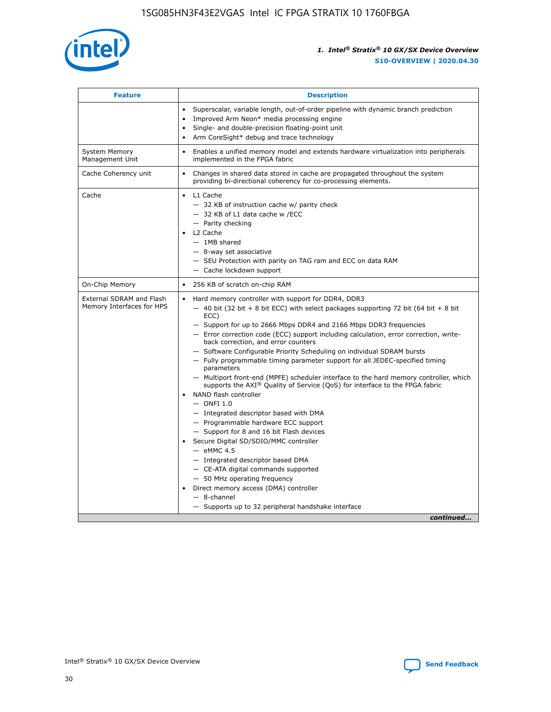

| <b>Feature</b>                                        | <b>Description</b>                                                                                                                                                                                                                                                                                                                                                                                                                                                                                                                                                                                                                                                                                                                                                                                                                                                                                                                                                                                                                                                                                                                                                                                                     |  |
|-------------------------------------------------------|------------------------------------------------------------------------------------------------------------------------------------------------------------------------------------------------------------------------------------------------------------------------------------------------------------------------------------------------------------------------------------------------------------------------------------------------------------------------------------------------------------------------------------------------------------------------------------------------------------------------------------------------------------------------------------------------------------------------------------------------------------------------------------------------------------------------------------------------------------------------------------------------------------------------------------------------------------------------------------------------------------------------------------------------------------------------------------------------------------------------------------------------------------------------------------------------------------------------|--|
|                                                       | Superscalar, variable length, out-of-order pipeline with dynamic branch prediction<br>Improved Arm Neon* media processing engine<br>$\bullet$<br>Single- and double-precision floating-point unit<br>Arm CoreSight* debug and trace technology<br>$\bullet$                                                                                                                                                                                                                                                                                                                                                                                                                                                                                                                                                                                                                                                                                                                                                                                                                                                                                                                                                            |  |
| <b>System Memory</b><br>Management Unit               | Enables a unified memory model and extends hardware virtualization into peripherals<br>$\bullet$<br>implemented in the FPGA fabric                                                                                                                                                                                                                                                                                                                                                                                                                                                                                                                                                                                                                                                                                                                                                                                                                                                                                                                                                                                                                                                                                     |  |
| Cache Coherency unit                                  | $\bullet$<br>Changes in shared data stored in cache are propagated throughout the system<br>providing bi-directional coherency for co-processing elements.                                                                                                                                                                                                                                                                                                                                                                                                                                                                                                                                                                                                                                                                                                                                                                                                                                                                                                                                                                                                                                                             |  |
| Cache                                                 | L1 Cache<br>$\bullet$<br>- 32 KB of instruction cache w/ parity check<br>- 32 KB of L1 data cache w /ECC<br>- Parity checking<br>L2 Cache<br>$-$ 1MB shared<br>- 8-way set associative<br>- SEU Protection with parity on TAG ram and ECC on data RAM<br>- Cache lockdown support                                                                                                                                                                                                                                                                                                                                                                                                                                                                                                                                                                                                                                                                                                                                                                                                                                                                                                                                      |  |
| On-Chip Memory                                        | 256 KB of scratch on-chip RAM<br>$\bullet$                                                                                                                                                                                                                                                                                                                                                                                                                                                                                                                                                                                                                                                                                                                                                                                                                                                                                                                                                                                                                                                                                                                                                                             |  |
| External SDRAM and Flash<br>Memory Interfaces for HPS | Hard memory controller with support for DDR4, DDR3<br>$\bullet$<br>$-$ 40 bit (32 bit + 8 bit ECC) with select packages supporting 72 bit (64 bit + 8 bit<br>ECC)<br>- Support for up to 2666 Mbps DDR4 and 2166 Mbps DDR3 frequencies<br>- Error correction code (ECC) support including calculation, error correction, write-<br>back correction, and error counters<br>- Software Configurable Priority Scheduling on individual SDRAM bursts<br>- Fully programmable timing parameter support for all JEDEC-specified timing<br>parameters<br>- Multiport front-end (MPFE) scheduler interface to the hard memory controller, which<br>supports the $AXI^{\circledR}$ Quality of Service (QoS) for interface to the FPGA fabric<br>NAND flash controller<br>$-$ ONFI 1.0<br>- Integrated descriptor based with DMA<br>- Programmable hardware ECC support<br>- Support for 8 and 16 bit Flash devices<br>Secure Digital SD/SDIO/MMC controller<br>$-$ eMMC 4.5<br>- Integrated descriptor based DMA<br>- CE-ATA digital commands supported<br>- 50 MHz operating frequency<br>Direct memory access (DMA) controller<br>$\bullet$<br>- 8-channel<br>- Supports up to 32 peripheral handshake interface<br>continued |  |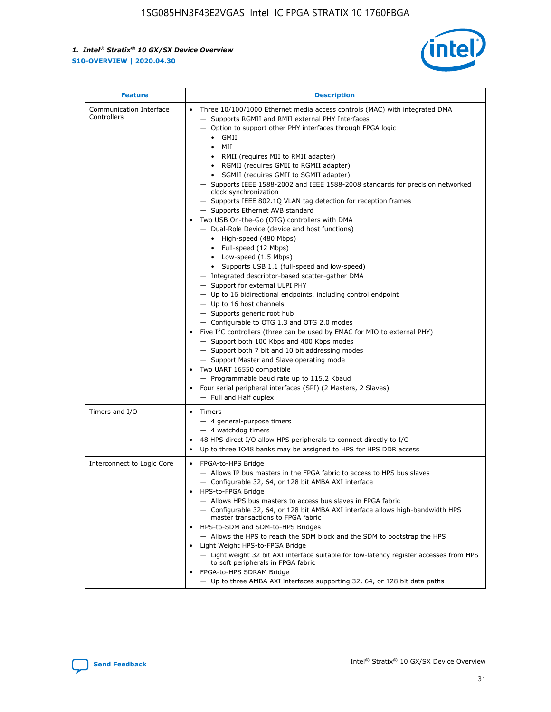

| <b>Feature</b>                         | <b>Description</b>                                                                                                                                                                                                                                                                                                                                                                                                                                                                                                                                                                                                                                                                                                                                                                                                                                                                                                                                                                                                                                                                                                                                                                                                                                                                                                                                                                                                                                                                                                     |
|----------------------------------------|------------------------------------------------------------------------------------------------------------------------------------------------------------------------------------------------------------------------------------------------------------------------------------------------------------------------------------------------------------------------------------------------------------------------------------------------------------------------------------------------------------------------------------------------------------------------------------------------------------------------------------------------------------------------------------------------------------------------------------------------------------------------------------------------------------------------------------------------------------------------------------------------------------------------------------------------------------------------------------------------------------------------------------------------------------------------------------------------------------------------------------------------------------------------------------------------------------------------------------------------------------------------------------------------------------------------------------------------------------------------------------------------------------------------------------------------------------------------------------------------------------------------|
| Communication Interface<br>Controllers | Three 10/100/1000 Ethernet media access controls (MAC) with integrated DMA<br>$\bullet$<br>- Supports RGMII and RMII external PHY Interfaces<br>- Option to support other PHY interfaces through FPGA logic<br>$\bullet$ GMII<br>MII<br>$\bullet$<br>RMII (requires MII to RMII adapter)<br>$\bullet$<br>• RGMII (requires GMII to RGMII adapter)<br>SGMII (requires GMII to SGMII adapter)<br>- Supports IEEE 1588-2002 and IEEE 1588-2008 standards for precision networked<br>clock synchronization<br>- Supports IEEE 802.1Q VLAN tag detection for reception frames<br>- Supports Ethernet AVB standard<br>Two USB On-the-Go (OTG) controllers with DMA<br>- Dual-Role Device (device and host functions)<br>• High-speed (480 Mbps)<br>• Full-speed (12 Mbps)<br>• Low-speed (1.5 Mbps)<br>• Supports USB 1.1 (full-speed and low-speed)<br>- Integrated descriptor-based scatter-gather DMA<br>- Support for external ULPI PHY<br>- Up to 16 bidirectional endpoints, including control endpoint<br>$-$ Up to 16 host channels<br>- Supports generic root hub<br>- Configurable to OTG 1.3 and OTG 2.0 modes<br>Five $I2C$ controllers (three can be used by EMAC for MIO to external PHY)<br>- Support both 100 Kbps and 400 Kbps modes<br>- Support both 7 bit and 10 bit addressing modes<br>- Support Master and Slave operating mode<br>Two UART 16550 compatible<br>- Programmable baud rate up to 115.2 Kbaud<br>Four serial peripheral interfaces (SPI) (2 Masters, 2 Slaves)<br>- Full and Half duplex |
| Timers and I/O                         | Timers<br>$\bullet$<br>- 4 general-purpose timers<br>$-4$ watchdog timers<br>48 HPS direct I/O allow HPS peripherals to connect directly to I/O<br>Up to three IO48 banks may be assigned to HPS for HPS DDR access                                                                                                                                                                                                                                                                                                                                                                                                                                                                                                                                                                                                                                                                                                                                                                                                                                                                                                                                                                                                                                                                                                                                                                                                                                                                                                    |
| Interconnect to Logic Core             | • FPGA-to-HPS Bridge<br>- Allows IP bus masters in the FPGA fabric to access to HPS bus slaves<br>- Configurable 32, 64, or 128 bit AMBA AXI interface<br>HPS-to-FPGA Bridge<br>- Allows HPS bus masters to access bus slaves in FPGA fabric<br>- Configurable 32, 64, or 128 bit AMBA AXI interface allows high-bandwidth HPS<br>master transactions to FPGA fabric<br>HPS-to-SDM and SDM-to-HPS Bridges<br>- Allows the HPS to reach the SDM block and the SDM to bootstrap the HPS<br>Light Weight HPS-to-FPGA Bridge<br>- Light weight 32 bit AXI interface suitable for low-latency register accesses from HPS<br>to soft peripherals in FPGA fabric<br>FPGA-to-HPS SDRAM Bridge<br>- Up to three AMBA AXI interfaces supporting 32, 64, or 128 bit data paths                                                                                                                                                                                                                                                                                                                                                                                                                                                                                                                                                                                                                                                                                                                                                    |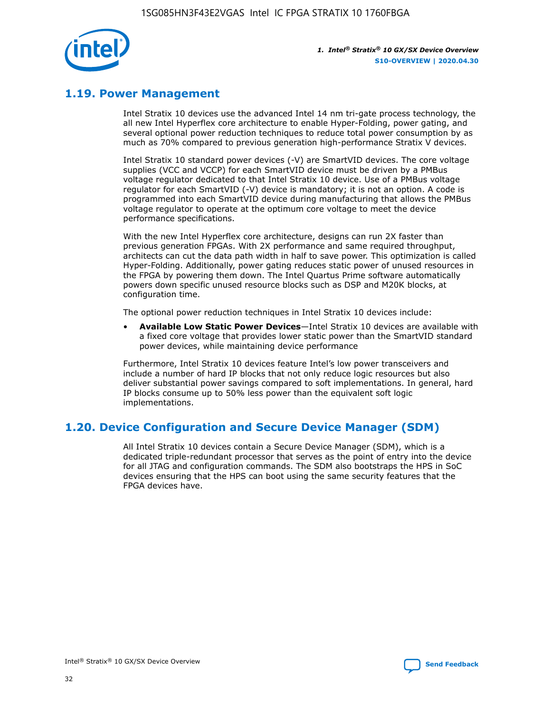

### **1.19. Power Management**

Intel Stratix 10 devices use the advanced Intel 14 nm tri-gate process technology, the all new Intel Hyperflex core architecture to enable Hyper-Folding, power gating, and several optional power reduction techniques to reduce total power consumption by as much as 70% compared to previous generation high-performance Stratix V devices.

Intel Stratix 10 standard power devices (-V) are SmartVID devices. The core voltage supplies (VCC and VCCP) for each SmartVID device must be driven by a PMBus voltage regulator dedicated to that Intel Stratix 10 device. Use of a PMBus voltage regulator for each SmartVID (-V) device is mandatory; it is not an option. A code is programmed into each SmartVID device during manufacturing that allows the PMBus voltage regulator to operate at the optimum core voltage to meet the device performance specifications.

With the new Intel Hyperflex core architecture, designs can run 2X faster than previous generation FPGAs. With 2X performance and same required throughput, architects can cut the data path width in half to save power. This optimization is called Hyper-Folding. Additionally, power gating reduces static power of unused resources in the FPGA by powering them down. The Intel Quartus Prime software automatically powers down specific unused resource blocks such as DSP and M20K blocks, at configuration time.

The optional power reduction techniques in Intel Stratix 10 devices include:

• **Available Low Static Power Devices**—Intel Stratix 10 devices are available with a fixed core voltage that provides lower static power than the SmartVID standard power devices, while maintaining device performance

Furthermore, Intel Stratix 10 devices feature Intel's low power transceivers and include a number of hard IP blocks that not only reduce logic resources but also deliver substantial power savings compared to soft implementations. In general, hard IP blocks consume up to 50% less power than the equivalent soft logic implementations.

### **1.20. Device Configuration and Secure Device Manager (SDM)**

All Intel Stratix 10 devices contain a Secure Device Manager (SDM), which is a dedicated triple-redundant processor that serves as the point of entry into the device for all JTAG and configuration commands. The SDM also bootstraps the HPS in SoC devices ensuring that the HPS can boot using the same security features that the FPGA devices have.

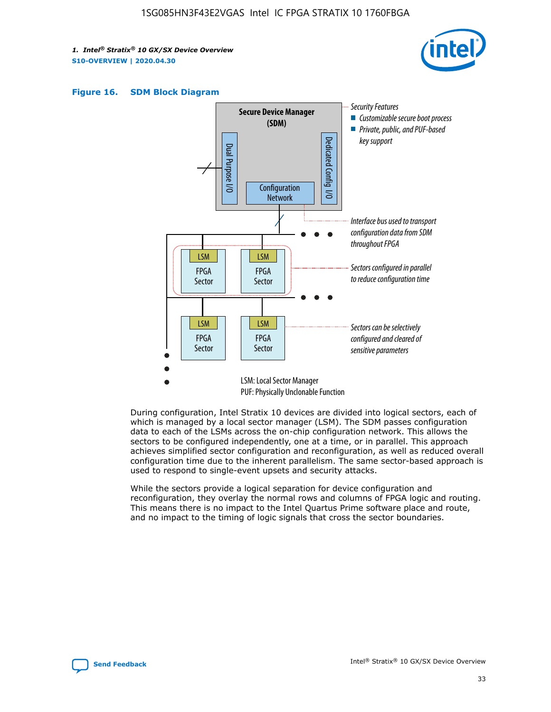





During configuration, Intel Stratix 10 devices are divided into logical sectors, each of which is managed by a local sector manager (LSM). The SDM passes configuration data to each of the LSMs across the on-chip configuration network. This allows the sectors to be configured independently, one at a time, or in parallel. This approach achieves simplified sector configuration and reconfiguration, as well as reduced overall configuration time due to the inherent parallelism. The same sector-based approach is used to respond to single-event upsets and security attacks.

While the sectors provide a logical separation for device configuration and reconfiguration, they overlay the normal rows and columns of FPGA logic and routing. This means there is no impact to the Intel Quartus Prime software place and route, and no impact to the timing of logic signals that cross the sector boundaries.

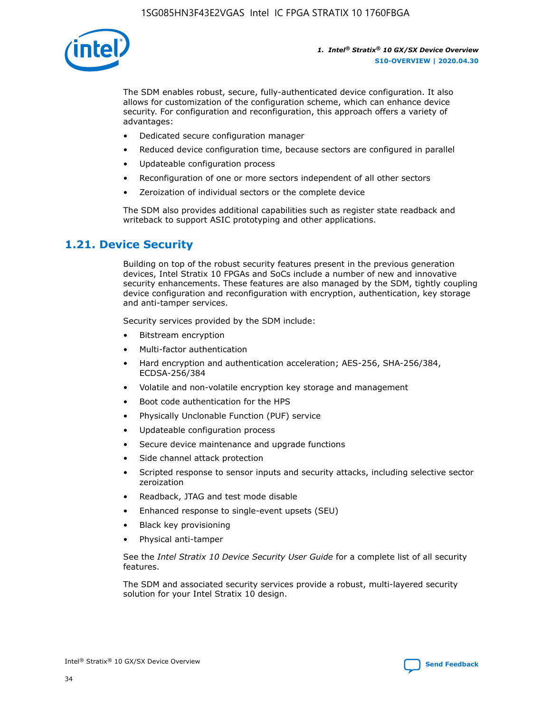

The SDM enables robust, secure, fully-authenticated device configuration. It also allows for customization of the configuration scheme, which can enhance device security. For configuration and reconfiguration, this approach offers a variety of advantages:

- Dedicated secure configuration manager
- Reduced device configuration time, because sectors are configured in parallel
- Updateable configuration process
- Reconfiguration of one or more sectors independent of all other sectors
- Zeroization of individual sectors or the complete device

The SDM also provides additional capabilities such as register state readback and writeback to support ASIC prototyping and other applications.

### **1.21. Device Security**

Building on top of the robust security features present in the previous generation devices, Intel Stratix 10 FPGAs and SoCs include a number of new and innovative security enhancements. These features are also managed by the SDM, tightly coupling device configuration and reconfiguration with encryption, authentication, key storage and anti-tamper services.

Security services provided by the SDM include:

- Bitstream encryption
- Multi-factor authentication
- Hard encryption and authentication acceleration; AES-256, SHA-256/384, ECDSA-256/384
- Volatile and non-volatile encryption key storage and management
- Boot code authentication for the HPS
- Physically Unclonable Function (PUF) service
- Updateable configuration process
- Secure device maintenance and upgrade functions
- Side channel attack protection
- Scripted response to sensor inputs and security attacks, including selective sector zeroization
- Readback, JTAG and test mode disable
- Enhanced response to single-event upsets (SEU)
- Black key provisioning
- Physical anti-tamper

See the *Intel Stratix 10 Device Security User Guide* for a complete list of all security features.

The SDM and associated security services provide a robust, multi-layered security solution for your Intel Stratix 10 design.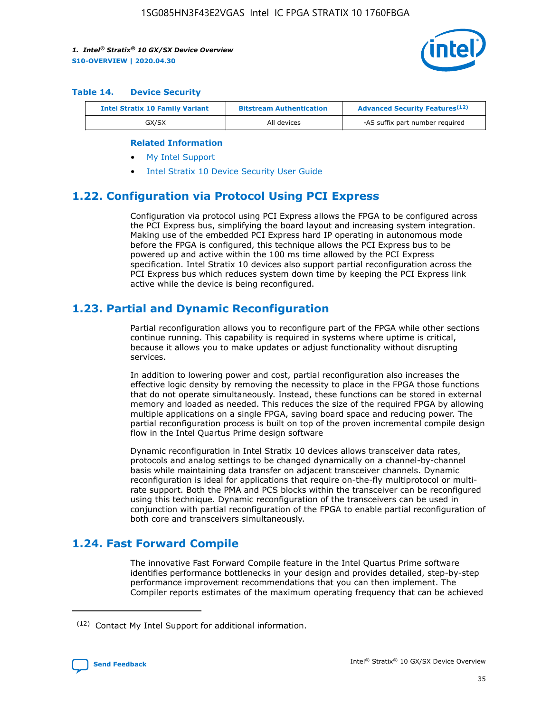

#### **Table 14. Device Security**

| <b>Intel Stratix 10 Family Variant</b> | <b>Bitstream Authentication</b> | <b>Advanced Security Features</b> <sup>(12)</sup> |
|----------------------------------------|---------------------------------|---------------------------------------------------|
| GX/SX                                  | All devices                     | -AS suffix part number required                   |

#### **Related Information**

- [My Intel Support](https://www.intel.com/content/www/us/en/programmable/my-intel/mal-home.html)
- [Intel Stratix 10 Device Security User Guide](https://www.intel.com/content/www/us/en/programmable/documentation/ndq1483601370898.html#wcd1483611014402)

### **1.22. Configuration via Protocol Using PCI Express**

Configuration via protocol using PCI Express allows the FPGA to be configured across the PCI Express bus, simplifying the board layout and increasing system integration. Making use of the embedded PCI Express hard IP operating in autonomous mode before the FPGA is configured, this technique allows the PCI Express bus to be powered up and active within the 100 ms time allowed by the PCI Express specification. Intel Stratix 10 devices also support partial reconfiguration across the PCI Express bus which reduces system down time by keeping the PCI Express link active while the device is being reconfigured.

### **1.23. Partial and Dynamic Reconfiguration**

Partial reconfiguration allows you to reconfigure part of the FPGA while other sections continue running. This capability is required in systems where uptime is critical, because it allows you to make updates or adjust functionality without disrupting services.

In addition to lowering power and cost, partial reconfiguration also increases the effective logic density by removing the necessity to place in the FPGA those functions that do not operate simultaneously. Instead, these functions can be stored in external memory and loaded as needed. This reduces the size of the required FPGA by allowing multiple applications on a single FPGA, saving board space and reducing power. The partial reconfiguration process is built on top of the proven incremental compile design flow in the Intel Quartus Prime design software

Dynamic reconfiguration in Intel Stratix 10 devices allows transceiver data rates, protocols and analog settings to be changed dynamically on a channel-by-channel basis while maintaining data transfer on adjacent transceiver channels. Dynamic reconfiguration is ideal for applications that require on-the-fly multiprotocol or multirate support. Both the PMA and PCS blocks within the transceiver can be reconfigured using this technique. Dynamic reconfiguration of the transceivers can be used in conjunction with partial reconfiguration of the FPGA to enable partial reconfiguration of both core and transceivers simultaneously.

### **1.24. Fast Forward Compile**

The innovative Fast Forward Compile feature in the Intel Quartus Prime software identifies performance bottlenecks in your design and provides detailed, step-by-step performance improvement recommendations that you can then implement. The Compiler reports estimates of the maximum operating frequency that can be achieved

<sup>(12)</sup> Contact My Intel Support for additional information.

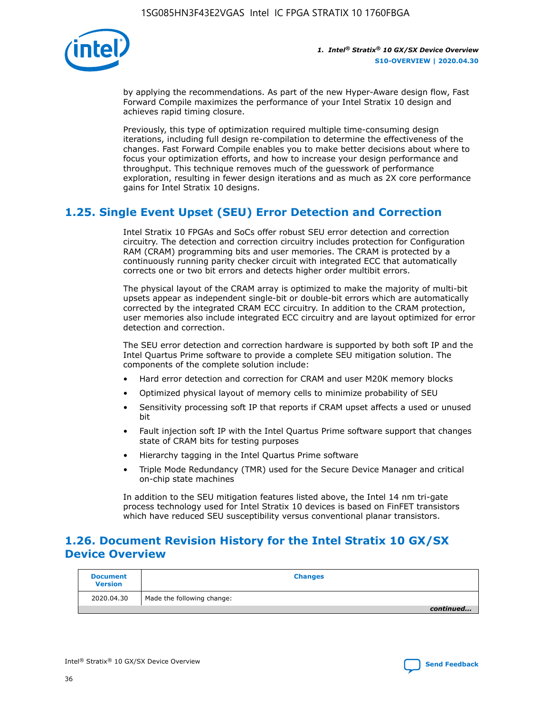

by applying the recommendations. As part of the new Hyper-Aware design flow, Fast Forward Compile maximizes the performance of your Intel Stratix 10 design and achieves rapid timing closure.

Previously, this type of optimization required multiple time-consuming design iterations, including full design re-compilation to determine the effectiveness of the changes. Fast Forward Compile enables you to make better decisions about where to focus your optimization efforts, and how to increase your design performance and throughput. This technique removes much of the guesswork of performance exploration, resulting in fewer design iterations and as much as 2X core performance gains for Intel Stratix 10 designs.

### **1.25. Single Event Upset (SEU) Error Detection and Correction**

Intel Stratix 10 FPGAs and SoCs offer robust SEU error detection and correction circuitry. The detection and correction circuitry includes protection for Configuration RAM (CRAM) programming bits and user memories. The CRAM is protected by a continuously running parity checker circuit with integrated ECC that automatically corrects one or two bit errors and detects higher order multibit errors.

The physical layout of the CRAM array is optimized to make the majority of multi-bit upsets appear as independent single-bit or double-bit errors which are automatically corrected by the integrated CRAM ECC circuitry. In addition to the CRAM protection, user memories also include integrated ECC circuitry and are layout optimized for error detection and correction.

The SEU error detection and correction hardware is supported by both soft IP and the Intel Quartus Prime software to provide a complete SEU mitigation solution. The components of the complete solution include:

- Hard error detection and correction for CRAM and user M20K memory blocks
- Optimized physical layout of memory cells to minimize probability of SEU
- Sensitivity processing soft IP that reports if CRAM upset affects a used or unused bit
- Fault injection soft IP with the Intel Quartus Prime software support that changes state of CRAM bits for testing purposes
- Hierarchy tagging in the Intel Quartus Prime software
- Triple Mode Redundancy (TMR) used for the Secure Device Manager and critical on-chip state machines

In addition to the SEU mitigation features listed above, the Intel 14 nm tri-gate process technology used for Intel Stratix 10 devices is based on FinFET transistors which have reduced SEU susceptibility versus conventional planar transistors.

### **1.26. Document Revision History for the Intel Stratix 10 GX/SX Device Overview**

| <b>Document</b><br><b>Version</b> | <b>Changes</b>             |
|-----------------------------------|----------------------------|
| 2020.04.30                        | Made the following change: |
|                                   | continued                  |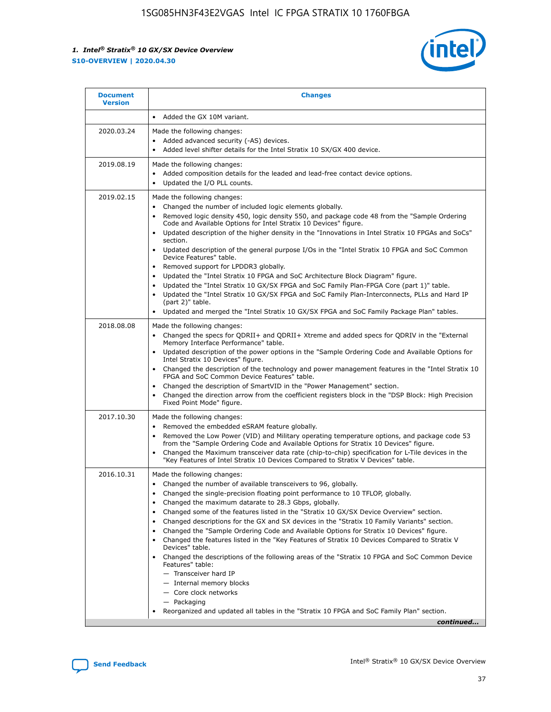

| <b>Document</b><br><b>Version</b> | <b>Changes</b>                                                                                                                                                                                                                                                                                                                                                                                                                                                                                                                                                                                                                                                                                                                                                                                                                                                                                                                                                                                      |
|-----------------------------------|-----------------------------------------------------------------------------------------------------------------------------------------------------------------------------------------------------------------------------------------------------------------------------------------------------------------------------------------------------------------------------------------------------------------------------------------------------------------------------------------------------------------------------------------------------------------------------------------------------------------------------------------------------------------------------------------------------------------------------------------------------------------------------------------------------------------------------------------------------------------------------------------------------------------------------------------------------------------------------------------------------|
|                                   | Added the GX 10M variant.                                                                                                                                                                                                                                                                                                                                                                                                                                                                                                                                                                                                                                                                                                                                                                                                                                                                                                                                                                           |
| 2020.03.24                        | Made the following changes:<br>Added advanced security (-AS) devices.<br>Added level shifter details for the Intel Stratix 10 SX/GX 400 device.                                                                                                                                                                                                                                                                                                                                                                                                                                                                                                                                                                                                                                                                                                                                                                                                                                                     |
| 2019.08.19                        | Made the following changes:<br>Added composition details for the leaded and lead-free contact device options.<br>$\bullet$<br>Updated the I/O PLL counts.                                                                                                                                                                                                                                                                                                                                                                                                                                                                                                                                                                                                                                                                                                                                                                                                                                           |
| 2019.02.15                        | Made the following changes:<br>Changed the number of included logic elements globally.<br>$\bullet$<br>Removed logic density 450, logic density 550, and package code 48 from the "Sample Ordering<br>$\bullet$<br>Code and Available Options for Intel Stratix 10 Devices" figure.<br>Updated description of the higher density in the "Innovations in Intel Stratix 10 FPGAs and SoCs"<br>section.<br>Updated description of the general purpose I/Os in the "Intel Stratix 10 FPGA and SoC Common<br>$\bullet$<br>Device Features" table.<br>Removed support for LPDDR3 globally.<br>Updated the "Intel Stratix 10 FPGA and SoC Architecture Block Diagram" figure.<br>$\bullet$<br>Updated the "Intel Stratix 10 GX/SX FPGA and SoC Family Plan-FPGA Core (part 1)" table.<br>٠<br>Updated the "Intel Stratix 10 GX/SX FPGA and SoC Family Plan-Interconnects, PLLs and Hard IP<br>(part 2)" table.<br>Updated and merged the "Intel Stratix 10 GX/SX FPGA and SoC Family Package Plan" tables. |
| 2018.08.08                        | Made the following changes:<br>Changed the specs for QDRII+ and QDRII+ Xtreme and added specs for QDRIV in the "External<br>$\bullet$<br>Memory Interface Performance" table.<br>Updated description of the power options in the "Sample Ordering Code and Available Options for<br>Intel Stratix 10 Devices" figure.<br>Changed the description of the technology and power management features in the "Intel Stratix 10<br>FPGA and SoC Common Device Features" table.<br>Changed the description of SmartVID in the "Power Management" section.<br>Changed the direction arrow from the coefficient registers block in the "DSP Block: High Precision<br>٠<br>Fixed Point Mode" figure.                                                                                                                                                                                                                                                                                                          |
| 2017.10.30                        | Made the following changes:<br>Removed the embedded eSRAM feature globally.<br>$\bullet$<br>Removed the Low Power (VID) and Military operating temperature options, and package code 53<br>٠<br>from the "Sample Ordering Code and Available Options for Stratix 10 Devices" figure.<br>Changed the Maximum transceiver data rate (chip-to-chip) specification for L-Tile devices in the<br>"Key Features of Intel Stratix 10 Devices Compared to Stratix V Devices" table.                                                                                                                                                                                                                                                                                                                                                                                                                                                                                                                         |
| 2016.10.31                        | Made the following changes:<br>• Changed the number of available transceivers to 96, globally.<br>Changed the single-precision floating point performance to 10 TFLOP, globally.<br>Changed the maximum datarate to 28.3 Gbps, globally.<br>٠<br>Changed some of the features listed in the "Stratix 10 GX/SX Device Overview" section.<br>٠<br>Changed descriptions for the GX and SX devices in the "Stratix 10 Family Variants" section.<br>٠<br>Changed the "Sample Ordering Code and Available Options for Stratix 10 Devices" figure.<br>Changed the features listed in the "Key Features of Stratix 10 Devices Compared to Stratix V<br>Devices" table.<br>Changed the descriptions of the following areas of the "Stratix 10 FPGA and SoC Common Device<br>Features" table:<br>- Transceiver hard IP<br>- Internal memory blocks<br>- Core clock networks<br>- Packaging<br>Reorganized and updated all tables in the "Stratix 10 FPGA and SoC Family Plan" section.                        |
|                                   | continued                                                                                                                                                                                                                                                                                                                                                                                                                                                                                                                                                                                                                                                                                                                                                                                                                                                                                                                                                                                           |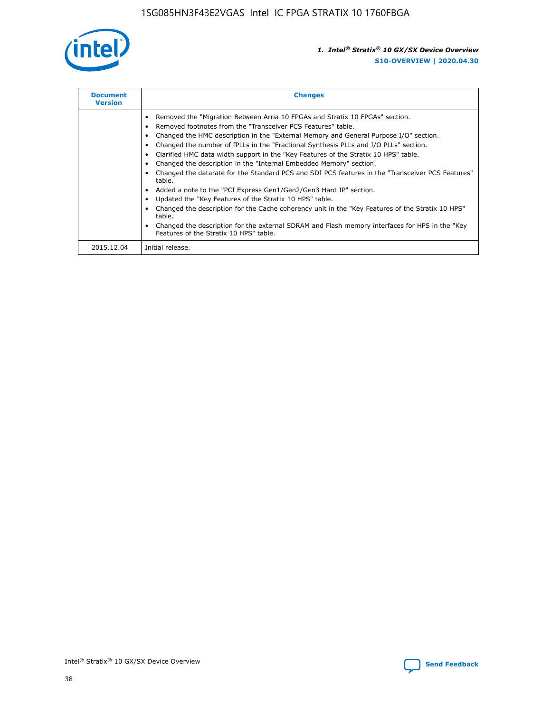

| <b>Document</b><br><b>Version</b> | <b>Changes</b>                                                                                                                                                                                                                                                                                                                                                                                                                                                                                                                                                                                                                                                                                                                                                                                                                                                                                                                                                                                     |  |
|-----------------------------------|----------------------------------------------------------------------------------------------------------------------------------------------------------------------------------------------------------------------------------------------------------------------------------------------------------------------------------------------------------------------------------------------------------------------------------------------------------------------------------------------------------------------------------------------------------------------------------------------------------------------------------------------------------------------------------------------------------------------------------------------------------------------------------------------------------------------------------------------------------------------------------------------------------------------------------------------------------------------------------------------------|--|
|                                   | Removed the "Migration Between Arria 10 FPGAs and Stratix 10 FPGAs" section.<br>Removed footnotes from the "Transceiver PCS Features" table.<br>Changed the HMC description in the "External Memory and General Purpose I/O" section.<br>Changed the number of fPLLs in the "Fractional Synthesis PLLs and I/O PLLs" section.<br>Clarified HMC data width support in the "Key Features of the Stratix 10 HPS" table.<br>Changed the description in the "Internal Embedded Memory" section.<br>Changed the datarate for the Standard PCS and SDI PCS features in the "Transceiver PCS Features"<br>table.<br>Added a note to the "PCI Express Gen1/Gen2/Gen3 Hard IP" section.<br>Updated the "Key Features of the Stratix 10 HPS" table.<br>Changed the description for the Cache coherency unit in the "Key Features of the Stratix 10 HPS"<br>table.<br>Changed the description for the external SDRAM and Flash memory interfaces for HPS in the "Key<br>Features of the Stratix 10 HPS" table. |  |
| 2015.12.04                        | Initial release.                                                                                                                                                                                                                                                                                                                                                                                                                                                                                                                                                                                                                                                                                                                                                                                                                                                                                                                                                                                   |  |